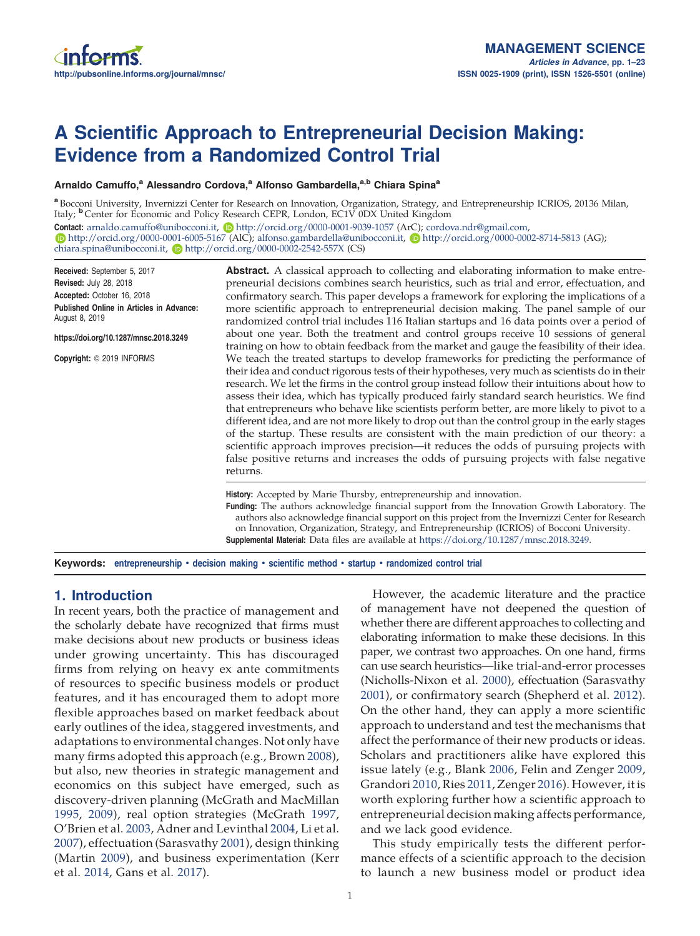# A Scientific Approach to Entrepreneurial Decision Making: Evidence from a Randomized Control Trial

#### Arnaldo Camuffo,<sup>a</sup> Alessandro Cordova,<sup>a</sup> Alfonso Gambardella,<sup>a,b</sup> Chiara Spina<sup>a</sup>

a Bocconi University, Invernizzi Center for Research on Innovation, Organization, Strategy, and Entrepreneurship ICRIOS, 20136 Milan, Italy; <sup>b</sup> Center for Economic and Policy Research CEPR, London, EC1V 0DX United Kingdom

Contact: arnaldo.camuffo@unibocconi.it, Dhttp://orcid.org/0000-0001-9039-1057 (ArC); cordova.ndr@gmail.com,  $\bigcirc$ http://orcid.org/0000-0001-6005-5167 (AlC); alfonso.gambardella@unibocconi.it,  $\bigcirc$ http://orcid.org/0000-0002-8714-5813 (AG); chiara.spina@unibocconi.it, D http://orcid.org/0000-0002-2542-557X (CS)

Received: September 5, 2017 Revised: July 28, 2018 Accepted: October 16, 2018 Published Online in Articles in Advance: August 8, 2019

https://doi.org/10.1287/mnsc.2018.3249

Copyright: © 2019 INFORMS

Abstract. A classical approach to collecting and elaborating information to make entrepreneurial decisions combines search heuristics, such as trial and error, effectuation, and confirmatory search. This paper develops a framework for exploring the implications of a more scientific approach to entrepreneurial decision making. The panel sample of our randomized control trial includes 116 Italian startups and 16 data points over a period of about one year. Both the treatment and control groups receive 10 sessions of general training on how to obtain feedback from the market and gauge the feasibility of their idea. We teach the treated startups to develop frameworks for predicting the performance of their idea and conduct rigorous tests of their hypotheses, very much as scientists do in their research. We let the firms in the control group instead follow their intuitions about how to assess their idea, which has typically produced fairly standard search heuristics. We find that entrepreneurs who behave like scientists perform better, are more likely to pivot to a different idea, and are not more likely to drop out than the control group in the early stages of the startup. These results are consistent with the main prediction of our theory: a scientific approach improves precision—it reduces the odds of pursuing projects with false positive returns and increases the odds of pursuing projects with false negative returns.

History: Accepted by Marie Thursby, entrepreneurship and innovation. Funding: The authors acknowledge financial support from the Innovation Growth Laboratory. The authors also acknowledge financial support on this project from the Invernizzi Center for Research on Innovation, Organization, Strategy, and Entrepreneurship (ICRIOS) of Bocconi University. Supplemental Material: Data files are available at https://doi.org/10.1287/mnsc.2018.3249.

Keywords: entrepreneurship • decision making • scientific method • startup • randomized control trial

# 1. Introduction

In recent years, both the practice of management and the scholarly debate have recognized that firms must make decisions about new products or business ideas under growing uncertainty. This has discouraged firms from relying on heavy ex ante commitments of resources to specific business models or product features, and it has encouraged them to adopt more flexible approaches based on market feedback about early outlines of the idea, staggered investments, and adaptations to environmental changes. Not only have many firms adopted this approach (e.g., Brown 2008), but also, new theories in strategic management and economics on this subject have emerged, such as discovery-driven planning (McGrath and MacMillan 1995, 2009), real option strategies (McGrath 1997, O'Brien et al. 2003, Adner and Levinthal 2004, Li et al. 2007), effectuation (Sarasvathy 2001), design thinking (Martin 2009), and business experimentation (Kerr et al. 2014, Gans et al. 2017).

However, the academic literature and the practice of management have not deepened the question of whether there are different approaches to collecting and elaborating information to make these decisions. In this paper, we contrast two approaches. On one hand, firms can use search heuristics—like trial-and-error processes (Nicholls-Nixon et al. 2000), effectuation (Sarasvathy 2001), or confirmatory search (Shepherd et al. 2012). On the other hand, they can apply a more scientific approach to understand and test the mechanisms that affect the performance of their new products or ideas. Scholars and practitioners alike have explored this issue lately (e.g., Blank 2006, Felin and Zenger 2009, Grandori 2010, Ries 2011, Zenger 2016). However, it is worth exploring further how a scientific approach to entrepreneurial decision making affects performance, and we lack good evidence.

This study empirically tests the different performance effects of a scientific approach to the decision to launch a new business model or product idea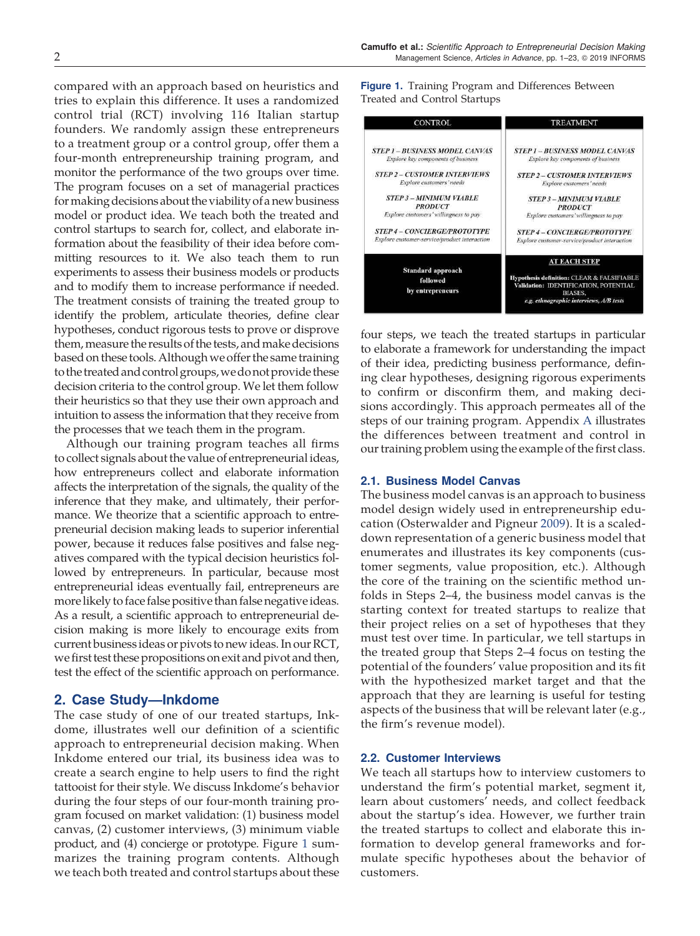compared with an approach based on heuristics and tries to explain this difference. It uses a randomized control trial (RCT) involving 116 Italian startup founders. We randomly assign these entrepreneurs to a treatment group or a control group, offer them a four-month entrepreneurship training program, and monitor the performance of the two groups over time. The program focuses on a set of managerial practices formaking decisions about the viability of a new business model or product idea. We teach both the treated and control startups to search for, collect, and elaborate information about the feasibility of their idea before committing resources to it. We also teach them to run experiments to assess their business models or products and to modify them to increase performance if needed. The treatment consists of training the treated group to identify the problem, articulate theories, define clear hypotheses, conduct rigorous tests to prove or disprove them, measure the results of the tests, and make decisions based on these tools. Although we offer the same training to the treated and control groups, we do not provide these decision criteria to the control group. We let them follow their heuristics so that they use their own approach and intuition to assess the information that they receive from the processes that we teach them in the program.

Although our training program teaches all firms to collect signals about the value of entrepreneurial ideas, how entrepreneurs collect and elaborate information affects the interpretation of the signals, the quality of the inference that they make, and ultimately, their performance. We theorize that a scientific approach to entrepreneurial decision making leads to superior inferential power, because it reduces false positives and false negatives compared with the typical decision heuristics followed by entrepreneurs. In particular, because most entrepreneurial ideas eventually fail, entrepreneurs are more likely to face false positive than false negative ideas. As a result, a scientific approach to entrepreneurial decision making is more likely to encourage exits from current business ideas or pivots to new ideas. In our RCT, wefirst test these propositions on exit and pivot and then, test the effect of the scientific approach on performance.

### 2. Case Study—Inkdome

The case study of one of our treated startups, Inkdome, illustrates well our definition of a scientific approach to entrepreneurial decision making. When Inkdome entered our trial, its business idea was to create a search engine to help users to find the right tattooist for their style. We discuss Inkdome's behavior during the four steps of our four-month training program focused on market validation: (1) business model canvas, (2) customer interviews, (3) minimum viable product, and (4) concierge or prototype. Figure 1 summarizes the training program contents. Although we teach both treated and control startups about these

**Figure 1.** Training Program and Differences Between Treated and Control Startups

| <b>CONTROL</b>                                           | <b>TREATMENT</b>                                                                                                      |
|----------------------------------------------------------|-----------------------------------------------------------------------------------------------------------------------|
| <b>STEP 1 - BUSINESS MODEL CANVAS</b>                    | <b>STEP 1 - BUSINESS MODEL CANVAS</b>                                                                                 |
| Explore key components of business                       | <b>Explore key components of business</b>                                                                             |
| <b>STEP 2 - CUSTOMER INTERVIEWS</b>                      | <b>STEP 2 - CUSTOMER INTERVIEWS</b>                                                                                   |
| Explore customers' needs                                 | Explore customers' needs                                                                                              |
| <b>STEP 3 - MINIMUM VIABLE</b>                           | <b>STEP 3 - MINIMUM VIABLE</b>                                                                                        |
| <b>PRODUCT</b>                                           | <b>PRODUCT</b>                                                                                                        |
| Explore customers' willingness to pay                    | Explore customers' willingness to pay                                                                                 |
| STEP 4 - CONCIERGE/PROTOTYPE                             | STEP 4 - CONCIERGE/PROTOTYPE                                                                                          |
| Explore customer-service/product interaction             | Explore customer-service/product interaction                                                                          |
| <b>Standard approach</b><br>followed<br>by entrepreneurs | <b>AT EACH STEP</b><br>Hypothesis definition: CLEAR & FALSIFIABLE<br>Validation: IDENTIFICATION, POTENTIAL<br>BIASES, |
|                                                          | e.g. ethnographic interviews, A/B tests                                                                               |

four steps, we teach the treated startups in particular to elaborate a framework for understanding the impact of their idea, predicting business performance, defining clear hypotheses, designing rigorous experiments to confirm or disconfirm them, and making decisions accordingly. This approach permeates all of the steps of our training program. Appendix A illustrates the differences between treatment and control in our training problem using the example of the first class.

#### 2.1. Business Model Canvas

The business model canvas is an approach to business model design widely used in entrepreneurship education (Osterwalder and Pigneur 2009). It is a scaleddown representation of a generic business model that enumerates and illustrates its key components (customer segments, value proposition, etc.). Although the core of the training on the scientific method unfolds in Steps 2–4, the business model canvas is the starting context for treated startups to realize that their project relies on a set of hypotheses that they must test over time. In particular, we tell startups in the treated group that Steps 2–4 focus on testing the potential of the founders' value proposition and its fit with the hypothesized market target and that the approach that they are learning is useful for testing aspects of the business that will be relevant later (e.g., the firm's revenue model).

#### 2.2. Customer Interviews

We teach all startups how to interview customers to understand the firm's potential market, segment it, learn about customers' needs, and collect feedback about the startup's idea. However, we further train the treated startups to collect and elaborate this information to develop general frameworks and formulate specific hypotheses about the behavior of customers.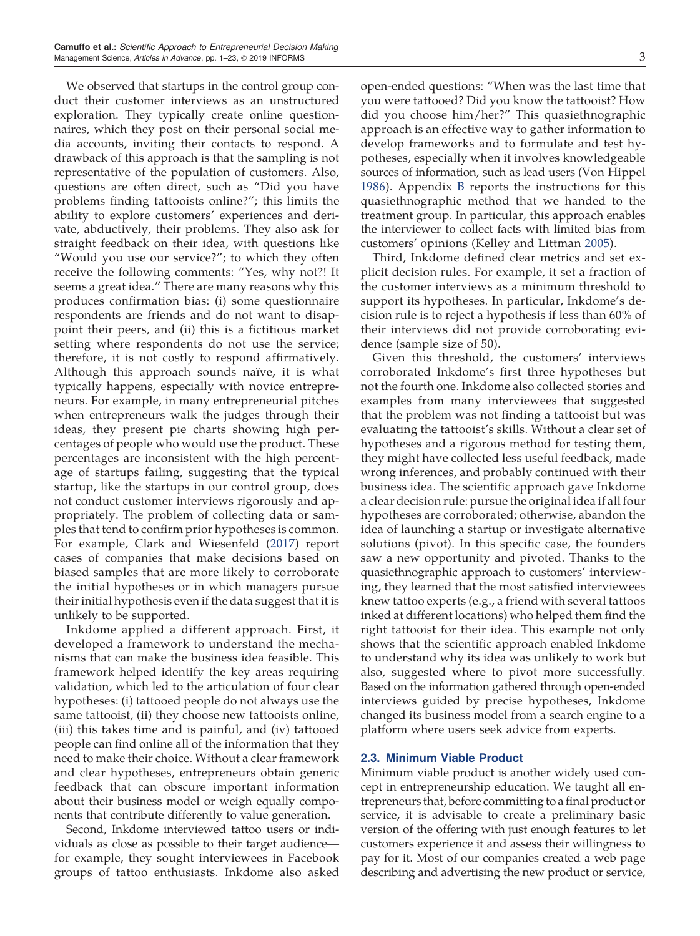We observed that startups in the control group conduct their customer interviews as an unstructured exploration. They typically create online questionnaires, which they post on their personal social media accounts, inviting their contacts to respond. A drawback of this approach is that the sampling is not representative of the population of customers. Also, questions are often direct, such as "Did you have problems finding tattooists online?"; this limits the ability to explore customers' experiences and derivate, abductively, their problems. They also ask for straight feedback on their idea, with questions like "Would you use our service?"; to which they often receive the following comments: "Yes, why not?! It seems a great idea." There are many reasons why this produces confirmation bias: (i) some questionnaire respondents are friends and do not want to disappoint their peers, and (ii) this is a fictitious market setting where respondents do not use the service; therefore, it is not costly to respond affirmatively. Although this approach sounds naïve, it is what typically happens, especially with novice entrepreneurs. For example, in many entrepreneurial pitches when entrepreneurs walk the judges through their ideas, they present pie charts showing high percentages of people who would use the product. These percentages are inconsistent with the high percentage of startups failing, suggesting that the typical startup, like the startups in our control group, does not conduct customer interviews rigorously and appropriately. The problem of collecting data or samples that tend to confirm prior hypotheses is common. For example, Clark and Wiesenfeld (2017) report cases of companies that make decisions based on biased samples that are more likely to corroborate the initial hypotheses or in which managers pursue their initial hypothesis even if the data suggest that it is unlikely to be supported.

Inkdome applied a different approach. First, it developed a framework to understand the mechanisms that can make the business idea feasible. This framework helped identify the key areas requiring validation, which led to the articulation of four clear hypotheses: (i) tattooed people do not always use the same tattooist, (ii) they choose new tattooists online, (iii) this takes time and is painful, and (iv) tattooed people can find online all of the information that they need to make their choice. Without a clear framework and clear hypotheses, entrepreneurs obtain generic feedback that can obscure important information about their business model or weigh equally components that contribute differently to value generation.

Second, Inkdome interviewed tattoo users or individuals as close as possible to their target audience for example, they sought interviewees in Facebook groups of tattoo enthusiasts. Inkdome also asked open-ended questions: "When was the last time that you were tattooed? Did you know the tattooist? How did you choose him/her?" This quasiethnographic approach is an effective way to gather information to develop frameworks and to formulate and test hypotheses, especially when it involves knowledgeable sources of information, such as lead users (Von Hippel 1986). Appendix B reports the instructions for this quasiethnographic method that we handed to the treatment group. In particular, this approach enables the interviewer to collect facts with limited bias from customers' opinions (Kelley and Littman 2005).

Third, Inkdome defined clear metrics and set explicit decision rules. For example, it set a fraction of the customer interviews as a minimum threshold to support its hypotheses. In particular, Inkdome's decision rule is to reject a hypothesis if less than 60% of their interviews did not provide corroborating evidence (sample size of 50).

Given this threshold, the customers' interviews corroborated Inkdome's first three hypotheses but not the fourth one. Inkdome also collected stories and examples from many interviewees that suggested that the problem was not finding a tattooist but was evaluating the tattooist's skills. Without a clear set of hypotheses and a rigorous method for testing them, they might have collected less useful feedback, made wrong inferences, and probably continued with their business idea. The scientific approach gave Inkdome a clear decision rule: pursue the original idea if all four hypotheses are corroborated; otherwise, abandon the idea of launching a startup or investigate alternative solutions (pivot). In this specific case, the founders saw a new opportunity and pivoted. Thanks to the quasiethnographic approach to customers' interviewing, they learned that the most satisfied interviewees knew tattoo experts (e.g., a friend with several tattoos inked at different locations) who helped them find the right tattooist for their idea. This example not only shows that the scientific approach enabled Inkdome to understand why its idea was unlikely to work but also, suggested where to pivot more successfully. Based on the information gathered through open-ended interviews guided by precise hypotheses, Inkdome changed its business model from a search engine to a platform where users seek advice from experts.

### 2.3. Minimum Viable Product

Minimum viable product is another widely used concept in entrepreneurship education. We taught all entrepreneurs that, before committing to a final product or service, it is advisable to create a preliminary basic version of the offering with just enough features to let customers experience it and assess their willingness to pay for it. Most of our companies created a web page describing and advertising the new product or service,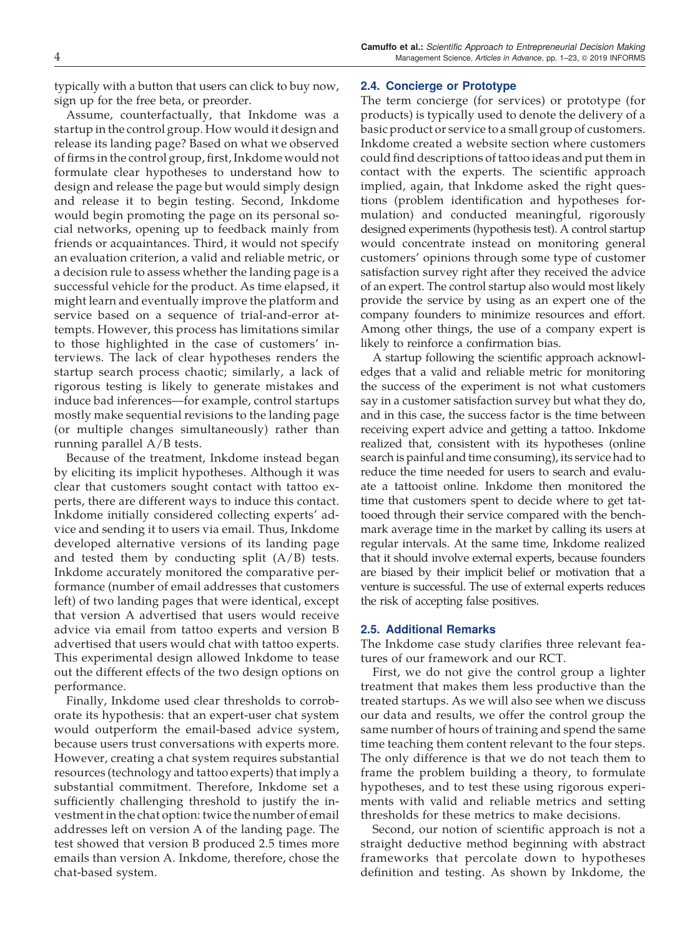typically with a button that users can click to buy now, sign up for the free beta, or preorder.

Assume, counterfactually, that Inkdome was a startup in the control group. How would it design and release its landing page? Based on what we observed of firms in the control group, first, Inkdome would not formulate clear hypotheses to understand how to design and release the page but would simply design and release it to begin testing. Second, Inkdome would begin promoting the page on its personal social networks, opening up to feedback mainly from friends or acquaintances. Third, it would not specify an evaluation criterion, a valid and reliable metric, or a decision rule to assess whether the landing page is a successful vehicle for the product. As time elapsed, it might learn and eventually improve the platform and service based on a sequence of trial-and-error attempts. However, this process has limitations similar to those highlighted in the case of customers' interviews. The lack of clear hypotheses renders the startup search process chaotic; similarly, a lack of rigorous testing is likely to generate mistakes and induce bad inferences—for example, control startups mostly make sequential revisions to the landing page (or multiple changes simultaneously) rather than running parallel A/B tests.

Because of the treatment, Inkdome instead began by eliciting its implicit hypotheses. Although it was clear that customers sought contact with tattoo experts, there are different ways to induce this contact. Inkdome initially considered collecting experts' advice and sending it to users via email. Thus, Inkdome developed alternative versions of its landing page and tested them by conducting split  $(A/B)$  tests. Inkdome accurately monitored the comparative performance (number of email addresses that customers left) of two landing pages that were identical, except that version A advertised that users would receive advice via email from tattoo experts and version B advertised that users would chat with tattoo experts. This experimental design allowed Inkdome to tease out the different effects of the two design options on performance.

Finally, Inkdome used clear thresholds to corroborate its hypothesis: that an expert-user chat system would outperform the email-based advice system, because users trust conversations with experts more. However, creating a chat system requires substantial resources (technology and tattoo experts) that imply a substantial commitment. Therefore, Inkdome set a sufficiently challenging threshold to justify the investment in the chat option: twice the number of email addresses left on version A of the landing page. The test showed that version B produced 2.5 times more emails than version A. Inkdome, therefore, chose the chat-based system.

#### 2.4. Concierge or Prototype

The term concierge (for services) or prototype (for products) is typically used to denote the delivery of a basic product or service to a small group of customers. Inkdome created a website section where customers could find descriptions of tattoo ideas and put them in contact with the experts. The scientific approach implied, again, that Inkdome asked the right questions (problem identification and hypotheses formulation) and conducted meaningful, rigorously designed experiments (hypothesis test). A control startup would concentrate instead on monitoring general customers' opinions through some type of customer satisfaction survey right after they received the advice of an expert. The control startup also would most likely provide the service by using as an expert one of the company founders to minimize resources and effort. Among other things, the use of a company expert is likely to reinforce a confirmation bias.

A startup following the scientific approach acknowledges that a valid and reliable metric for monitoring the success of the experiment is not what customers say in a customer satisfaction survey but what they do, and in this case, the success factor is the time between receiving expert advice and getting a tattoo. Inkdome realized that, consistent with its hypotheses (online search is painful and time consuming), its service had to reduce the time needed for users to search and evaluate a tattooist online. Inkdome then monitored the time that customers spent to decide where to get tattooed through their service compared with the benchmark average time in the market by calling its users at regular intervals. At the same time, Inkdome realized that it should involve external experts, because founders are biased by their implicit belief or motivation that a venture is successful. The use of external experts reduces the risk of accepting false positives.

#### 2.5. Additional Remarks

The Inkdome case study clarifies three relevant features of our framework and our RCT.

First, we do not give the control group a lighter treatment that makes them less productive than the treated startups. As we will also see when we discuss our data and results, we offer the control group the same number of hours of training and spend the same time teaching them content relevant to the four steps. The only difference is that we do not teach them to frame the problem building a theory, to formulate hypotheses, and to test these using rigorous experiments with valid and reliable metrics and setting thresholds for these metrics to make decisions.

Second, our notion of scientific approach is not a straight deductive method beginning with abstract frameworks that percolate down to hypotheses definition and testing. As shown by Inkdome, the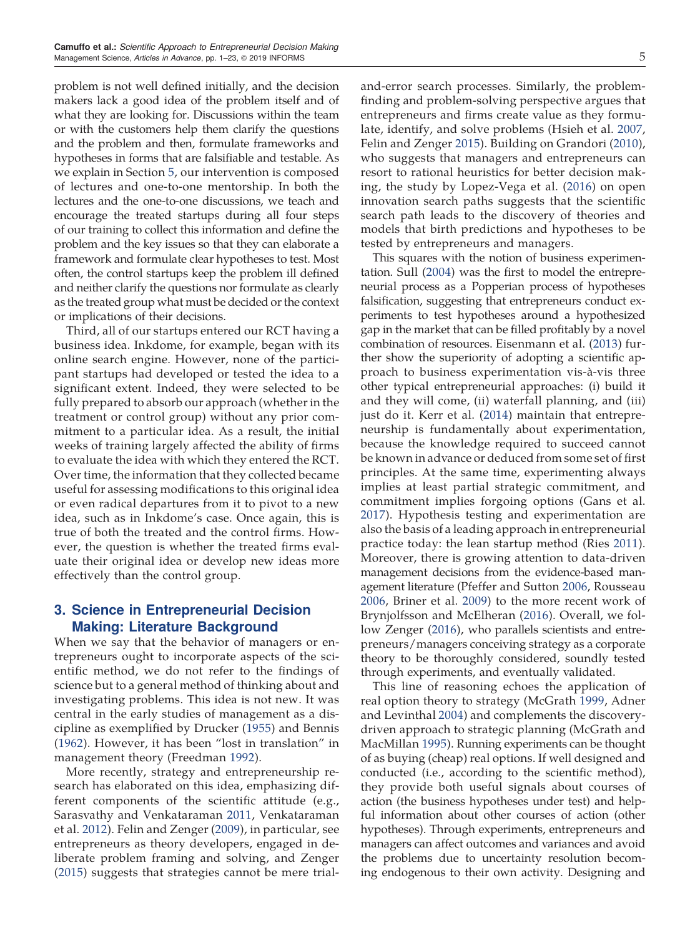problem is not well defined initially, and the decision makers lack a good idea of the problem itself and of what they are looking for. Discussions within the team or with the customers help them clarify the questions and the problem and then, formulate frameworks and hypotheses in forms that are falsifiable and testable. As we explain in Section 5, our intervention is composed of lectures and one-to-one mentorship. In both the lectures and the one-to-one discussions, we teach and encourage the treated startups during all four steps of our training to collect this information and define the problem and the key issues so that they can elaborate a framework and formulate clear hypotheses to test. Most often, the control startups keep the problem ill defined and neither clarify the questions nor formulate as clearly as the treated group what must be decided or the context or implications of their decisions.

Third, all of our startups entered our RCT having a business idea. Inkdome, for example, began with its online search engine. However, none of the participant startups had developed or tested the idea to a significant extent. Indeed, they were selected to be fully prepared to absorb our approach (whether in the treatment or control group) without any prior commitment to a particular idea. As a result, the initial weeks of training largely affected the ability of firms to evaluate the idea with which they entered the RCT. Over time, the information that they collected became useful for assessing modifications to this original idea or even radical departures from it to pivot to a new idea, such as in Inkdome's case. Once again, this is true of both the treated and the control firms. However, the question is whether the treated firms evaluate their original idea or develop new ideas more effectively than the control group.

# 3. Science in Entrepreneurial Decision Making: Literature Background

When we say that the behavior of managers or entrepreneurs ought to incorporate aspects of the scientific method, we do not refer to the findings of science but to a general method of thinking about and investigating problems. This idea is not new. It was central in the early studies of management as a discipline as exemplified by Drucker (1955) and Bennis (1962). However, it has been "lost in translation" in management theory (Freedman 1992).

More recently, strategy and entrepreneurship research has elaborated on this idea, emphasizing different components of the scientific attitude (e.g., Sarasvathy and Venkataraman 2011, Venkataraman et al. 2012). Felin and Zenger (2009), in particular, see entrepreneurs as theory developers, engaged in deliberate problem framing and solving, and Zenger (2015) suggests that strategies cannot be mere trialand-error search processes. Similarly, the problemfinding and problem-solving perspective argues that entrepreneurs and firms create value as they formulate, identify, and solve problems (Hsieh et al. 2007, Felin and Zenger 2015). Building on Grandori (2010), who suggests that managers and entrepreneurs can resort to rational heuristics for better decision making, the study by Lopez-Vega et al. (2016) on open innovation search paths suggests that the scientific search path leads to the discovery of theories and models that birth predictions and hypotheses to be tested by entrepreneurs and managers.

This squares with the notion of business experimentation. Sull (2004) was the first to model the entrepreneurial process as a Popperian process of hypotheses falsification, suggesting that entrepreneurs conduct experiments to test hypotheses around a hypothesized gap in the market that can be filled profitably by a novel combination of resources. Eisenmann et al. (2013) further show the superiority of adopting a scientific approach to business experimentation vis-à-vis three other typical entrepreneurial approaches: (i) build it and they will come, (ii) waterfall planning, and (iii) just do it. Kerr et al. (2014) maintain that entrepreneurship is fundamentally about experimentation, because the knowledge required to succeed cannot be known in advance or deduced from some set of first principles. At the same time, experimenting always implies at least partial strategic commitment, and commitment implies forgoing options (Gans et al. 2017). Hypothesis testing and experimentation are also the basis of a leading approach in entrepreneurial practice today: the lean startup method (Ries 2011). Moreover, there is growing attention to data-driven management decisions from the evidence-based management literature (Pfeffer and Sutton 2006, Rousseau 2006, Briner et al. 2009) to the more recent work of Brynjolfsson and McElheran (2016). Overall, we follow Zenger (2016), who parallels scientists and entrepreneurs/managers conceiving strategy as a corporate theory to be thoroughly considered, soundly tested through experiments, and eventually validated.

This line of reasoning echoes the application of real option theory to strategy (McGrath 1999, Adner and Levinthal 2004) and complements the discoverydriven approach to strategic planning (McGrath and MacMillan 1995). Running experiments can be thought of as buying (cheap) real options. If well designed and conducted (i.e., according to the scientific method), they provide both useful signals about courses of action (the business hypotheses under test) and helpful information about other courses of action (other hypotheses). Through experiments, entrepreneurs and managers can affect outcomes and variances and avoid the problems due to uncertainty resolution becoming endogenous to their own activity. Designing and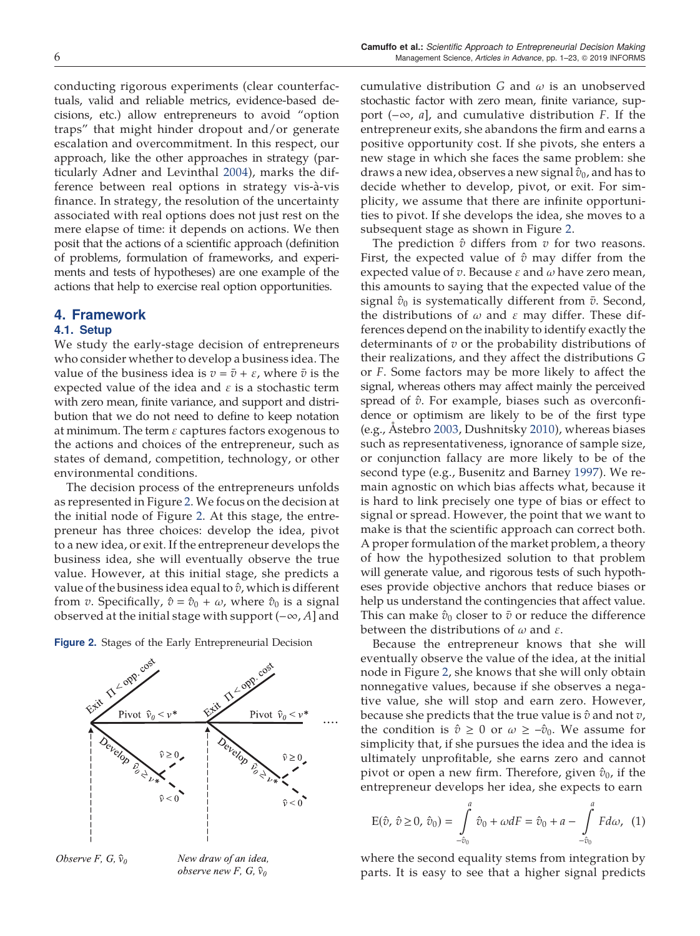conducting rigorous experiments (clear counterfactuals, valid and reliable metrics, evidence-based decisions, etc.) allow entrepreneurs to avoid "option traps" that might hinder dropout and/or generate escalation and overcommitment. In this respect, our approach, like the other approaches in strategy (particularly Adner and Levinthal 2004), marks the difference between real options in strategy vis-à-vis finance. In strategy, the resolution of the uncertainty associated with real options does not just rest on the mere elapse of time: it depends on actions. We then posit that the actions of a scientific approach (definition of problems, formulation of frameworks, and experiments and tests of hypotheses) are one example of the actions that help to exercise real option opportunities.

# 4. Framework

## 4.1. Setup

We study the early-stage decision of entrepreneurs who consider whether to develop a business idea. The value of the business idea is  $v = \bar{v} + \varepsilon$ , where  $\bar{v}$  is the expected value of the idea and  $\varepsilon$  is a stochastic term with zero mean, finite variance, and support and distribution that we do not need to define to keep notation at minimum. The term  $\varepsilon$  captures factors exogenous to the actions and choices of the entrepreneur, such as states of demand, competition, technology, or other environmental conditions.

The decision process of the entrepreneurs unfolds as represented in Figure 2. We focus on the decision at the initial node of Figure 2. At this stage, the entrepreneur has three choices: develop the idea, pivot to a new idea, or exit. If the entrepreneur develops the business idea, she will eventually observe the true value. However, at this initial stage, she predicts a value of the business idea equal to  $\hat{v}$ , which is different from *v*. Specifically,  $\hat{v} = \hat{v}_0 + \omega$ , where  $\hat{v}_0$  is a signal observed at the initial stage with support (−∞, *A*] and

Figure 2. Stages of the Early Entrepreneurial Decision





cumulative distribution *G* and ω is an unobserved stochastic factor with zero mean, finite variance, support (−∞, *a*], and cumulative distribution *F*. If the entrepreneur exits, she abandons the firm and earns a positive opportunity cost. If she pivots, she enters a new stage in which she faces the same problem: she draws a new idea, observes a new signal  $\hat{v}_0$ , and has to decide whether to develop, pivot, or exit. For simplicity, we assume that there are infinite opportunities to pivot. If she develops the idea, she moves to a subsequent stage as shown in Figure 2.

The prediction  $\hat{v}$  differs from  $v$  for two reasons. First, the expected value of  $\hat{v}$  may differ from the expected value of  $v$ . Because  $\varepsilon$  and  $\omega$  have zero mean, this amounts to saying that the expected value of the signal  $\hat{v}_0$  is systematically different from  $\bar{v}$ . Second, the distributions of  $\omega$  and  $\varepsilon$  may differ. These differences depend on the inability to identify exactly the determinants of *v* or the probability distributions of their realizations, and they affect the distributions *G* or *F*. Some factors may be more likely to affect the signal, whereas others may affect mainly the perceived spread of  $\hat{v}$ . For example, biases such as overconfidence or optimism are likely to be of the first type (e.g., Astebro 2003, Dushnitsky 2010), whereas biases such as representativeness, ignorance of sample size, or conjunction fallacy are more likely to be of the second type (e.g., Busenitz and Barney 1997). We remain agnostic on which bias affects what, because it is hard to link precisely one type of bias or effect to signal or spread. However, the point that we want to make is that the scientific approach can correct both. A proper formulation of the market problem, a theory of how the hypothesized solution to that problem will generate value, and rigorous tests of such hypotheses provide objective anchors that reduce biases or help us understand the contingencies that affect value. This can make  $\hat{v}_0$  closer to  $\bar{v}$  or reduce the difference between the distributions of  $\omega$  and  $\varepsilon$ .

Because the entrepreneur knows that she will eventually observe the value of the idea, at the initial node in Figure 2, she knows that she will only obtain nonnegative values, because if she observes a negative value, she will stop and earn zero. However, because she predicts that the true value is  $\hat{v}$  and not  $v$ , the condition is  $\hat{v} \ge 0$  or  $\omega \ge -\hat{v}_0$ . We assume for simplicity that, if she pursues the idea and the idea is ultimately unprofitable, she earns zero and cannot pivot or open a new firm. Therefore, given  $\hat{v}_0$ , if the entrepreneur develops her idea, she expects to earn

$$
E(\hat{v}, \hat{v} \ge 0, \hat{v}_0) = \int_{-\hat{v}_0}^{a} \hat{v}_0 + \omega dF = \hat{v}_0 + a - \int_{-\hat{v}_0}^{a} F d\omega, \quad (1)
$$

where the second equality stems from integration by parts. It is easy to see that a higher signal predicts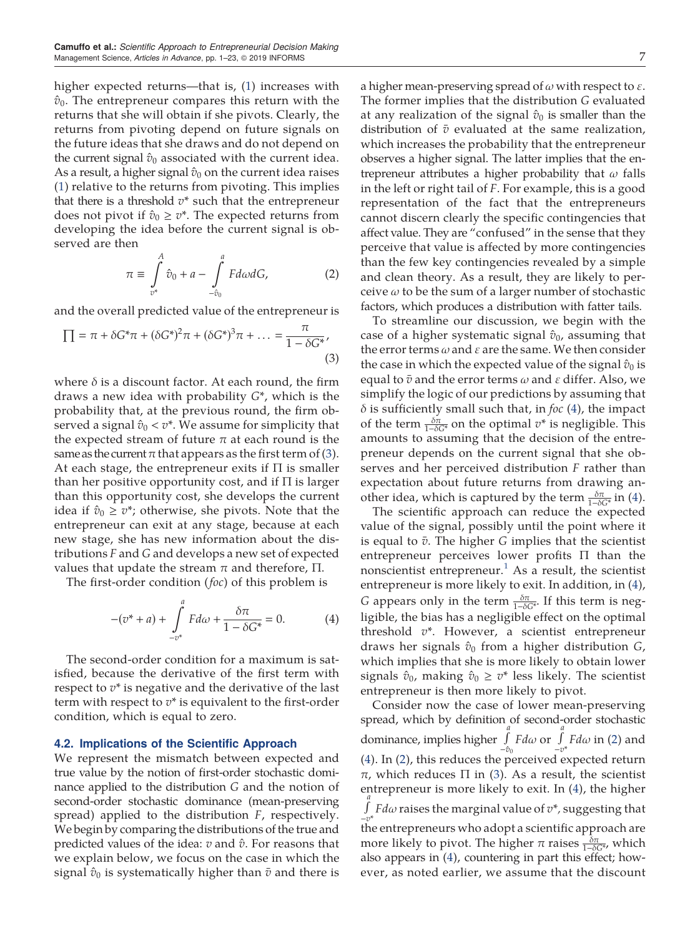higher expected returns—that is, (1) increases with  $\hat{v}_0$ . The entrepreneur compares this return with the returns that she will obtain if she pivots. Clearly, the returns from pivoting depend on future signals on the future ideas that she draws and do not depend on the current signal  $\hat{v}_0$  associated with the current idea. As a result, a higher signal  $\hat{v}_0$  on the current idea raises (1) relative to the returns from pivoting. This implies that there is a threshold *v*\* such that the entrepreneur does not pivot if  $\hat{v}_0 \ge v^*$ . The expected returns from developing the idea before the current signal is observed are then

$$
\pi \equiv \int_{v^*}^A \hat{v}_0 + a - \int_{-\hat{v}_0}^a F d\omega dG, \qquad (2)
$$

and the overall predicted value of the entrepreneur is

$$
\prod = \pi + \delta G^* \pi + (\delta G^*)^2 \pi + (\delta G^*)^3 \pi + \dots = \frac{\pi}{1 - \delta G^*},
$$
\n(3)

where  $\delta$  is a discount factor. At each round, the firm draws a new idea with probability *G*\*, which is the probability that, at the previous round, the firm observed a signal  $\hat{v}_0 < v^*$ . We assume for simplicity that the expected stream of future  $\pi$  at each round is the same as the current  $\pi$  that appears as the first term of (3). At each stage, the entrepreneur exits if  $\Pi$  is smaller than her positive opportunity cost, and if  $\Pi$  is larger than this opportunity cost, she develops the current idea if  $\hat{v}_0 \geq v^*$ ; otherwise, she pivots. Note that the entrepreneur can exit at any stage, because at each new stage, she has new information about the distributions *F* and *G* and develops a new set of expected values that update the stream  $\pi$  and therefore,  $\Pi$ .

The first-order condition (*foc*) of this problem is

$$
-(v^* + a) + \int_{-v^*}^{a} F d\omega + \frac{\delta \pi}{1 - \delta G^*} = 0.
$$
 (4)

The second-order condition for a maximum is satisfied, because the derivative of the first term with respect to *v*\* is negative and the derivative of the last term with respect to *v*\* is equivalent to the first-order condition, which is equal to zero.

### 4.2. Implications of the Scientific Approach

We represent the mismatch between expected and true value by the notion of first-order stochastic dominance applied to the distribution *G* and the notion of second-order stochastic dominance (mean-preserving spread) applied to the distribution *F*, respectively. We begin by comparing the distributions of the true and predicted values of the idea: *v* and  $\hat{v}$ . For reasons that we explain below, we focus on the case in which the signal  $\hat{v}_0$  is systematically higher than  $\bar{v}$  and there is

a higher mean-preserving spread of  $\omega$  with respect to  $\varepsilon$ . The former implies that the distribution *G* evaluated at any realization of the signal  $\hat{v}_0$  is smaller than the distribution of  $\bar{v}$  evaluated at the same realization, which increases the probability that the entrepreneur observes a higher signal. The latter implies that the entrepreneur attributes a higher probability that  $\omega$  falls in the left or right tail of *F*. For example, this is a good representation of the fact that the entrepreneurs cannot discern clearly the specific contingencies that affect value. They are "confused" in the sense that they perceive that value is affected by more contingencies than the few key contingencies revealed by a simple and clean theory. As a result, they are likely to perceive  $\omega$  to be the sum of a larger number of stochastic factors, which produces a distribution with fatter tails.

To streamline our discussion, we begin with the case of a higher systematic signal  $\hat{v}_0$ , assuming that the error terms  $\omega$  and  $\varepsilon$  are the same. We then consider the case in which the expected value of the signal  $\hat{v}_0$  is equal to  $\bar{v}$  and the error terms  $\omega$  and  $\varepsilon$  differ. Also, we simplify the logic of our predictions by assuming that  $\delta$  is sufficiently small such that, in *foc* (4), the impact of the term  $\frac{\delta \pi}{1-\delta G^*}$  on the optimal  $v^*$  is negligible. This amounts to assuming that the decision of the entrepreneur depends on the current signal that she observes and her perceived distribution *F* rather than expectation about future returns from drawing another idea, which is captured by the term  $\frac{\delta \pi}{1-\delta G^*}$  in (4).

The scientific approach can reduce the expected value of the signal, possibly until the point where it is equal to  $\bar{v}$ . The higher *G* implies that the scientist entrepreneur perceives lower profits Π than the nonscientist entrepreneur.<sup>1</sup> As a result, the scientist entrepreneur is more likely to exit. In addition, in (4), *G* appears only in the term  $\frac{\delta \pi}{1 - \delta G^*}$ . If this term is negligible, the bias has a negligible effect on the optimal threshold *v*\*. However, a scientist entrepreneur draws her signals  $\hat{v}_0$  from a higher distribution *G*, which implies that she is more likely to obtain lower signals  $\hat{v}_0$ , making  $\hat{v}_0 \ge v^*$  less likely. The scientist entrepreneur is then more likely to pivot.

Consider now the case of lower mean-preserving spread, which by definition of second-order stochastic dominance, implies higher ∫ *a*  $\int_{-\hat{v}_0}^{a} F d\omega$  or  $\int_{-v}^{a}$ −*v*\* *Fd*ω in (2) and (4). In (2), this reduces the perceived expected return π, which reduces Π in (3). As a result, the scientist entrepreneur is more likely to exit. In (4), the higher *a* ∫ *Fd*ω raises the marginal value of *v*\**,* suggesting that −*v*\* the entrepreneurs who adopt a scientific approach are more likely to pivot. The higher π raises  $\frac{\delta \pi}{1 - \delta G^*}$ , which also appears in (4), countering in part this effect; however, as noted earlier, we assume that the discount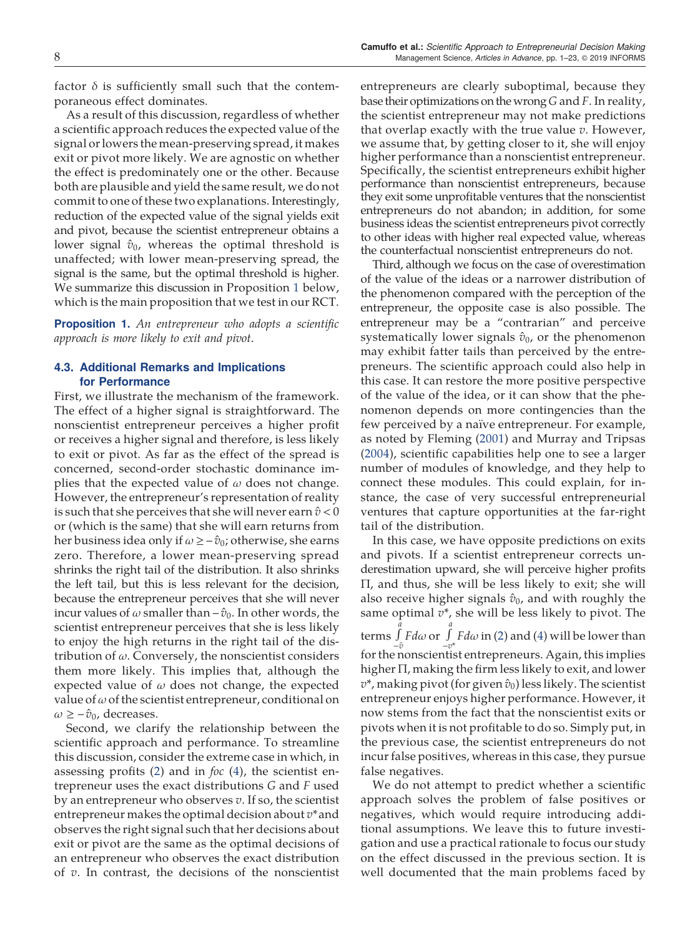factor  $\delta$  is sufficiently small such that the contemporaneous effect dominates.

As a result of this discussion, regardless of whether a scientific approach reduces the expected value of the signal or lowers the mean-preserving spread, it makes exit or pivot more likely. We are agnostic on whether the effect is predominately one or the other. Because both are plausible and yield the same result, we do not commit to one of these two explanations. Interestingly, reduction of the expected value of the signal yields exit and pivot, because the scientist entrepreneur obtains a lower signal  $\hat{v}_0$ , whereas the optimal threshold is unaffected; with lower mean-preserving spread, the signal is the same, but the optimal threshold is higher. We summarize this discussion in Proposition 1 below, which is the main proposition that we test in our RCT.

Proposition 1. *An entrepreneur who adopts a scienti*fi*c approach is more likely to exit and pivot*.

## 4.3. Additional Remarks and Implications for Performance

First, we illustrate the mechanism of the framework. The effect of a higher signal is straightforward. The nonscientist entrepreneur perceives a higher profit or receives a higher signal and therefore, is less likely to exit or pivot. As far as the effect of the spread is concerned, second-order stochastic dominance implies that the expected value of  $\omega$  does not change. However, the entrepreneur's representation of reality is such that she perceives that she will never earn  $\hat{v}$  < 0 or (which is the same) that she will earn returns from her business idea only if  $\omega \geq -\hat{v}_0$ ; otherwise, she earns zero. Therefore, a lower mean-preserving spread shrinks the right tail of the distribution. It also shrinks the left tail, but this is less relevant for the decision, because the entrepreneur perceives that she will never incur values of  $\omega$  smaller than  $-\hat{v}_0$ . In other words, the scientist entrepreneur perceives that she is less likely to enjoy the high returns in the right tail of the distribution of  $\omega$ . Conversely, the nonscientist considers them more likely. This implies that, although the expected value of  $\omega$  does not change, the expected value of  $\omega$  of the scientist entrepreneur, conditional on  $\omega \geq -\hat{v}_0$ , decreases.

Second, we clarify the relationship between the scientific approach and performance. To streamline this discussion, consider the extreme case in which, in assessing profits (2) and in *foc* (4), the scientist entrepreneur uses the exact distributions *G* and *F* used by an entrepreneur who observes *v*. If so, the scientist entrepreneur makes the optimal decision about *v*\*and observes the right signal such that her decisions about exit or pivot are the same as the optimal decisions of an entrepreneur who observes the exact distribution of *v*. In contrast, the decisions of the nonscientist entrepreneurs are clearly suboptimal, because they base their optimizations on the wrong *G* and *F*. In reality, the scientist entrepreneur may not make predictions that overlap exactly with the true value *v*. However, we assume that, by getting closer to it, she will enjoy higher performance than a nonscientist entrepreneur. Specifically, the scientist entrepreneurs exhibit higher performance than nonscientist entrepreneurs, because they exit some unprofitable ventures that the nonscientist entrepreneurs do not abandon; in addition, for some business ideas the scientist entrepreneurs pivot correctly to other ideas with higher real expected value, whereas the counterfactual nonscientist entrepreneurs do not.

Third, although we focus on the case of overestimation of the value of the ideas or a narrower distribution of the phenomenon compared with the perception of the entrepreneur, the opposite case is also possible. The entrepreneur may be a "contrarian" and perceive systematically lower signals  $\hat{v}_0$ , or the phenomenon may exhibit fatter tails than perceived by the entrepreneurs. The scientific approach could also help in this case. It can restore the more positive perspective of the value of the idea, or it can show that the phenomenon depends on more contingencies than the few perceived by a naïve entrepreneur. For example, as noted by Fleming (2001) and Murray and Tripsas (2004), scientific capabilities help one to see a larger number of modules of knowledge, and they help to connect these modules. This could explain, for instance, the case of very successful entrepreneurial ventures that capture opportunities at the far-right tail of the distribution.

In this case, we have opposite predictions on exits and pivots. If a scientist entrepreneur corrects underestimation upward, she will perceive higher profits Π, and thus, she will be less likely to exit; she will also receive higher signals  $\hat{v}_0$ , and with roughly the same optimal *v*\*, she will be less likely to pivot. The terms  $\int\limits_{-\bar{v}} \mathbf{F} d\omega$  or  $\int\limits_{-v^{*}} \mathbf{F} d\omega$  in (2) and (4) will be lower than *a a* for the nonscientist entrepreneurs. Again, this implies higher Π, making the firm less likely to exit, and lower  $v^*$ , making pivot (for given  $\hat{v}_0$ ) less likely. The scientist entrepreneur enjoys higher performance. However, it now stems from the fact that the nonscientist exits or pivots when it is not profitable to do so. Simply put, in the previous case, the scientist entrepreneurs do not incur false positives, whereas in this case, they pursue false negatives.

We do not attempt to predict whether a scientific approach solves the problem of false positives or negatives, which would require introducing additional assumptions. We leave this to future investigation and use a practical rationale to focus our study on the effect discussed in the previous section. It is well documented that the main problems faced by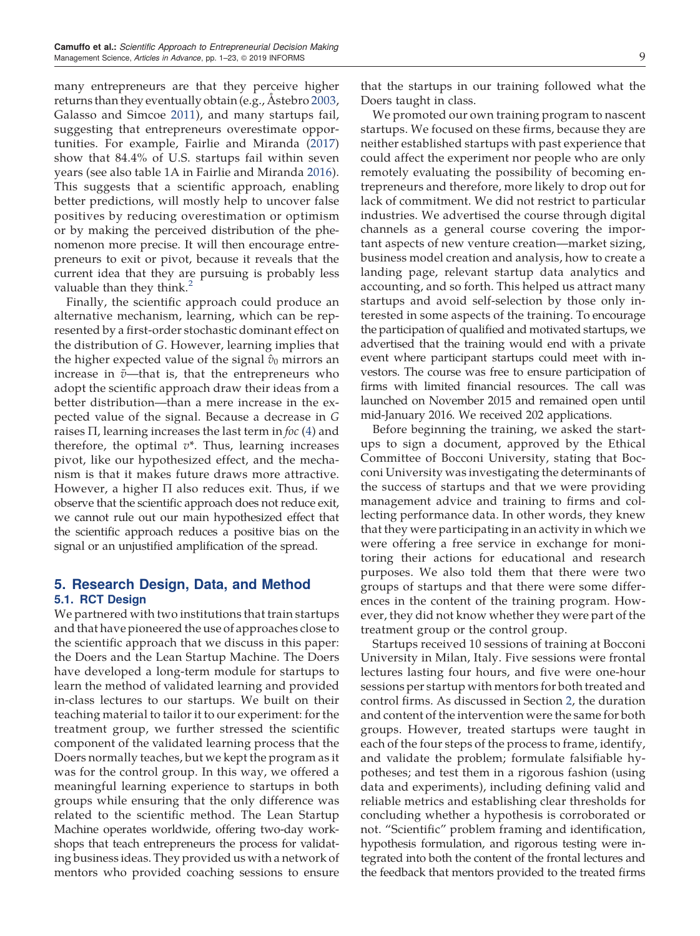many entrepreneurs are that they perceive higher returns than they eventually obtain (e.g., Astebro 2003, Galasso and Simcoe 2011), and many startups fail, suggesting that entrepreneurs overestimate opportunities. For example, Fairlie and Miranda (2017) show that 84.4% of U.S. startups fail within seven years (see also table 1A in Fairlie and Miranda 2016). This suggests that a scientific approach, enabling better predictions, will mostly help to uncover false positives by reducing overestimation or optimism or by making the perceived distribution of the phenomenon more precise. It will then encourage entrepreneurs to exit or pivot, because it reveals that the current idea that they are pursuing is probably less valuable than they think. $^{2}$ 

Finally, the scientific approach could produce an alternative mechanism, learning, which can be represented by a first-order stochastic dominant effect on the distribution of *G*. However, learning implies that the higher expected value of the signal  $\hat{v}_0$  mirrors an increase in  $\bar{v}$ —that is, that the entrepreneurs who adopt the scientific approach draw their ideas from a better distribution—than a mere increase in the expected value of the signal. Because a decrease in *G* raises Π, learning increases the last term in *foc* (4) and therefore, the optimal  $v^*$ . Thus, learning increases pivot, like our hypothesized effect, and the mechanism is that it makes future draws more attractive. However, a higher  $\Pi$  also reduces exit. Thus, if we observe that the scientific approach does not reduce exit, we cannot rule out our main hypothesized effect that the scientific approach reduces a positive bias on the signal or an unjustified amplification of the spread.

# 5. Research Design, Data, and Method 5.1. RCT Design

We partnered with two institutions that train startups and that have pioneered the use of approaches close to the scientific approach that we discuss in this paper: the Doers and the Lean Startup Machine. The Doers have developed a long-term module for startups to learn the method of validated learning and provided in-class lectures to our startups. We built on their teaching material to tailor it to our experiment: for the treatment group, we further stressed the scientific component of the validated learning process that the Doers normally teaches, but we kept the program as it was for the control group. In this way, we offered a meaningful learning experience to startups in both groups while ensuring that the only difference was related to the scientific method. The Lean Startup Machine operates worldwide, offering two-day workshops that teach entrepreneurs the process for validating business ideas. They provided us with a network of mentors who provided coaching sessions to ensure that the startups in our training followed what the Doers taught in class.

We promoted our own training program to nascent startups. We focused on these firms, because they are neither established startups with past experience that could affect the experiment nor people who are only remotely evaluating the possibility of becoming entrepreneurs and therefore, more likely to drop out for lack of commitment. We did not restrict to particular industries. We advertised the course through digital channels as a general course covering the important aspects of new venture creation—market sizing, business model creation and analysis, how to create a landing page, relevant startup data analytics and accounting, and so forth. This helped us attract many startups and avoid self-selection by those only interested in some aspects of the training. To encourage the participation of qualified and motivated startups, we advertised that the training would end with a private event where participant startups could meet with investors. The course was free to ensure participation of firms with limited financial resources. The call was launched on November 2015 and remained open until mid-January 2016. We received 202 applications.

Before beginning the training, we asked the startups to sign a document, approved by the Ethical Committee of Bocconi University, stating that Bocconi University was investigating the determinants of the success of startups and that we were providing management advice and training to firms and collecting performance data. In other words, they knew that they were participating in an activity in which we were offering a free service in exchange for monitoring their actions for educational and research purposes. We also told them that there were two groups of startups and that there were some differences in the content of the training program. However, they did not know whether they were part of the treatment group or the control group.

Startups received 10 sessions of training at Bocconi University in Milan, Italy. Five sessions were frontal lectures lasting four hours, and five were one-hour sessions per startup with mentors for both treated and control firms. As discussed in Section 2, the duration and content of the intervention were the same for both groups. However, treated startups were taught in each of the four steps of the process to frame, identify, and validate the problem; formulate falsifiable hypotheses; and test them in a rigorous fashion (using data and experiments), including defining valid and reliable metrics and establishing clear thresholds for concluding whether a hypothesis is corroborated or not. "Scientific" problem framing and identification, hypothesis formulation, and rigorous testing were integrated into both the content of the frontal lectures and the feedback that mentors provided to the treated firms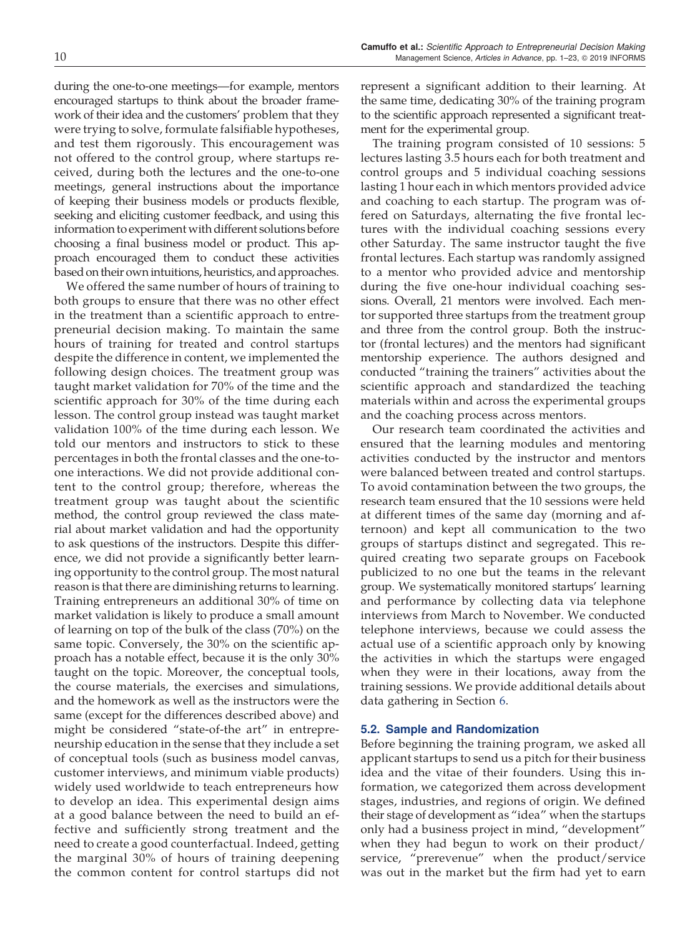during the one-to-one meetings—for example, mentors encouraged startups to think about the broader framework of their idea and the customers' problem that they were trying to solve, formulate falsifiable hypotheses, and test them rigorously. This encouragement was not offered to the control group, where startups received, during both the lectures and the one-to-one meetings, general instructions about the importance of keeping their business models or products flexible, seeking and eliciting customer feedback, and using this information to experiment with different solutions before choosing a final business model or product. This approach encouraged them to conduct these activities based on their own intuitions, heuristics, and approaches.

We offered the same number of hours of training to both groups to ensure that there was no other effect in the treatment than a scientific approach to entrepreneurial decision making. To maintain the same hours of training for treated and control startups despite the difference in content, we implemented the following design choices. The treatment group was taught market validation for 70% of the time and the scientific approach for 30% of the time during each lesson. The control group instead was taught market validation 100% of the time during each lesson. We told our mentors and instructors to stick to these percentages in both the frontal classes and the one-toone interactions. We did not provide additional content to the control group; therefore, whereas the treatment group was taught about the scientific method, the control group reviewed the class material about market validation and had the opportunity to ask questions of the instructors. Despite this difference, we did not provide a significantly better learning opportunity to the control group. The most natural reason is that there are diminishing returns to learning. Training entrepreneurs an additional 30% of time on market validation is likely to produce a small amount of learning on top of the bulk of the class (70%) on the same topic. Conversely, the 30% on the scientific approach has a notable effect, because it is the only 30% taught on the topic. Moreover, the conceptual tools, the course materials, the exercises and simulations, and the homework as well as the instructors were the same (except for the differences described above) and might be considered "state-of-the art" in entrepreneurship education in the sense that they include a set of conceptual tools (such as business model canvas, customer interviews, and minimum viable products) widely used worldwide to teach entrepreneurs how to develop an idea. This experimental design aims at a good balance between the need to build an effective and sufficiently strong treatment and the need to create a good counterfactual. Indeed, getting the marginal 30% of hours of training deepening the common content for control startups did not represent a significant addition to their learning. At the same time, dedicating 30% of the training program to the scientific approach represented a significant treatment for the experimental group.

The training program consisted of 10 sessions: 5 lectures lasting 3.5 hours each for both treatment and control groups and 5 individual coaching sessions lasting 1 hour each in which mentors provided advice and coaching to each startup. The program was offered on Saturdays, alternating the five frontal lectures with the individual coaching sessions every other Saturday. The same instructor taught the five frontal lectures. Each startup was randomly assigned to a mentor who provided advice and mentorship during the five one-hour individual coaching sessions. Overall, 21 mentors were involved. Each mentor supported three startups from the treatment group and three from the control group. Both the instructor (frontal lectures) and the mentors had significant mentorship experience. The authors designed and conducted "training the trainers" activities about the scientific approach and standardized the teaching materials within and across the experimental groups and the coaching process across mentors.

Our research team coordinated the activities and ensured that the learning modules and mentoring activities conducted by the instructor and mentors were balanced between treated and control startups. To avoid contamination between the two groups, the research team ensured that the 10 sessions were held at different times of the same day (morning and afternoon) and kept all communication to the two groups of startups distinct and segregated. This required creating two separate groups on Facebook publicized to no one but the teams in the relevant group. We systematically monitored startups' learning and performance by collecting data via telephone interviews from March to November. We conducted telephone interviews, because we could assess the actual use of a scientific approach only by knowing the activities in which the startups were engaged when they were in their locations, away from the training sessions. We provide additional details about data gathering in Section 6.

#### 5.2. Sample and Randomization

Before beginning the training program, we asked all applicant startups to send us a pitch for their business idea and the vitae of their founders. Using this information, we categorized them across development stages, industries, and regions of origin. We defined their stage of development as "idea" when the startups only had a business project in mind, "development" when they had begun to work on their product/ service, "prerevenue" when the product/service was out in the market but the firm had yet to earn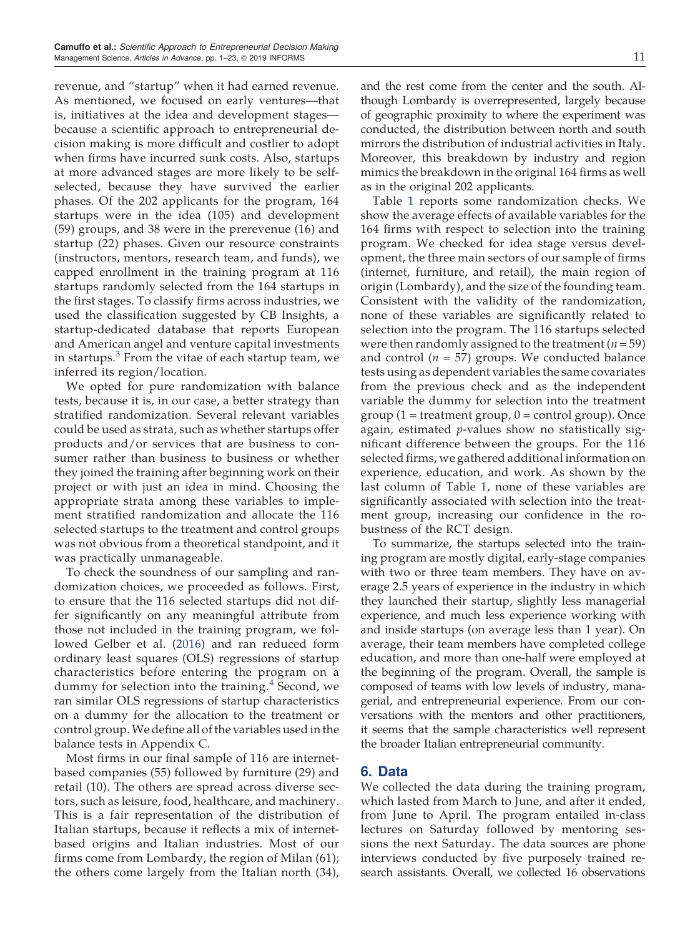revenue, and "startup" when it had earned revenue. As mentioned, we focused on early ventures—that is, initiatives at the idea and development stages because a scientific approach to entrepreneurial decision making is more difficult and costlier to adopt when firms have incurred sunk costs. Also, startups at more advanced stages are more likely to be selfselected, because they have survived the earlier phases. Of the 202 applicants for the program, 164 startups were in the idea (105) and development (59) groups, and 38 were in the prerevenue (16) and startup (22) phases. Given our resource constraints (instructors, mentors, research team, and funds), we capped enrollment in the training program at 116 startups randomly selected from the 164 startups in the first stages. To classify firms across industries, we used the classification suggested by CB Insights, a startup-dedicated database that reports European and American angel and venture capital investments in startups.<sup>3</sup> From the vitae of each startup team, we inferred its region/location.

We opted for pure randomization with balance tests, because it is, in our case, a better strategy than stratified randomization. Several relevant variables could be used as strata, such as whether startups offer products and/or services that are business to consumer rather than business to business or whether they joined the training after beginning work on their project or with just an idea in mind. Choosing the appropriate strata among these variables to implement stratified randomization and allocate the 116 selected startups to the treatment and control groups was not obvious from a theoretical standpoint, and it was practically unmanageable.

To check the soundness of our sampling and randomization choices, we proceeded as follows. First, to ensure that the 116 selected startups did not differ significantly on any meaningful attribute from those not included in the training program, we followed Gelber et al. (2016) and ran reduced form ordinary least squares (OLS) regressions of startup characteristics before entering the program on a dummy for selection into the training.<sup>4</sup> Second, we ran similar OLS regressions of startup characteristics on a dummy for the allocation to the treatment or control group.We define all of the variables used in the balance tests in Appendix C.

Most firms in our final sample of 116 are internetbased companies (55) followed by furniture (29) and retail (10). The others are spread across diverse sectors, such as leisure, food, healthcare, and machinery. This is a fair representation of the distribution of Italian startups, because it reflects a mix of internetbased origins and Italian industries. Most of our firms come from Lombardy, the region of Milan (61); the others come largely from the Italian north (34), and the rest come from the center and the south. Although Lombardy is overrepresented, largely because of geographic proximity to where the experiment was conducted, the distribution between north and south mirrors the distribution of industrial activities in Italy. Moreover, this breakdown by industry and region mimics the breakdown in the original 164 firms as well as in the original 202 applicants.

Table 1 reports some randomization checks. We show the average effects of available variables for the 164 firms with respect to selection into the training program. We checked for idea stage versus development, the three main sectors of our sample of firms (internet, furniture, and retail), the main region of origin (Lombardy), and the size of the founding team. Consistent with the validity of the randomization, none of these variables are significantly related to selection into the program. The 116 startups selected were then randomly assigned to the treatment  $(n = 59)$ and control  $(n = 57)$  groups. We conducted balance tests using as dependent variables the same covariates from the previous check and as the independent variable the dummy for selection into the treatment group  $(1 =$  treatment group,  $0 =$  control group). Once again, estimated *p*-values show no statistically significant difference between the groups. For the 116 selected firms, we gathered additional information on experience, education, and work. As shown by the last column of Table 1, none of these variables are significantly associated with selection into the treatment group, increasing our confidence in the robustness of the RCT design.

To summarize, the startups selected into the training program are mostly digital, early-stage companies with two or three team members. They have on average 2.5 years of experience in the industry in which they launched their startup, slightly less managerial experience, and much less experience working with and inside startups (on average less than 1 year). On average, their team members have completed college education, and more than one-half were employed at the beginning of the program. Overall, the sample is composed of teams with low levels of industry, managerial, and entrepreneurial experience. From our conversations with the mentors and other practitioners, it seems that the sample characteristics well represent the broader Italian entrepreneurial community.

## 6. Data

We collected the data during the training program, which lasted from March to June, and after it ended, from June to April. The program entailed in-class lectures on Saturday followed by mentoring sessions the next Saturday. The data sources are phone interviews conducted by five purposely trained research assistants. Overall, we collected 16 observations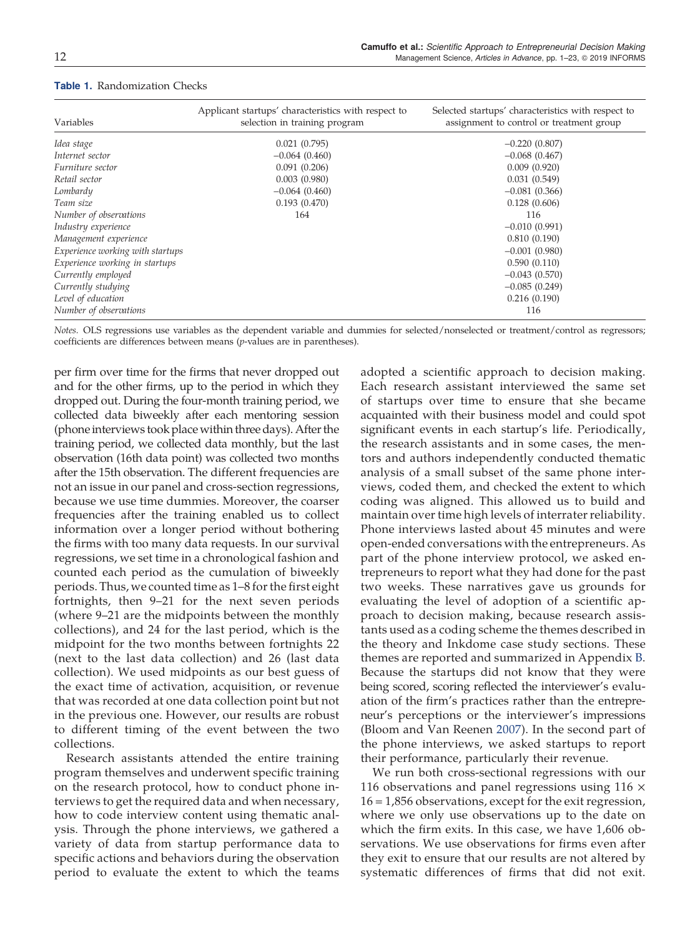| Variables                        | Applicant startups' characteristics with respect to<br>selection in training program | Selected startups' characteristics with respect to<br>assignment to control or treatment group |
|----------------------------------|--------------------------------------------------------------------------------------|------------------------------------------------------------------------------------------------|
| Idea stage                       | 0.021(0.795)                                                                         | $-0.220(0.807)$                                                                                |
| Internet sector                  | $-0.064(0.460)$                                                                      | $-0.068(0.467)$                                                                                |
| Furniture sector                 | 0.091(0.206)                                                                         | 0.009(0.920)                                                                                   |
| Retail sector                    | 0.003(0.980)                                                                         | 0.031(0.549)                                                                                   |
| Lombardy                         | $-0.064(0.460)$                                                                      | $-0.081(0.366)$                                                                                |
| Team size                        | 0.193(0.470)                                                                         | 0.128(0.606)                                                                                   |
| Number of observations           | 164                                                                                  | 116                                                                                            |
| Industry experience              |                                                                                      | $-0.010(0.991)$                                                                                |
| Management experience            |                                                                                      | 0.810(0.190)                                                                                   |
| Experience working with startups |                                                                                      | $-0.001(0.980)$                                                                                |
| Experience working in startups   |                                                                                      | 0.590(0.110)                                                                                   |
| Currently employed               |                                                                                      | $-0.043(0.570)$                                                                                |
| Currently studying               |                                                                                      | $-0.085(0.249)$                                                                                |
| Level of education               |                                                                                      | 0.216(0.190)                                                                                   |
| Number of observations           |                                                                                      | 116                                                                                            |

#### Table 1. Randomization Checks

*Notes.* OLS regressions use variables as the dependent variable and dummies for selected/nonselected or treatment/control as regressors; coefficients are differences between means (*p*-values are in parentheses).

per firm over time for the firms that never dropped out and for the other firms, up to the period in which they dropped out. During the four-month training period, we collected data biweekly after each mentoring session (phoneinterviews took place within three days). After the training period, we collected data monthly, but the last observation (16th data point) was collected two months after the 15th observation. The different frequencies are not an issue in our panel and cross-section regressions, because we use time dummies. Moreover, the coarser frequencies after the training enabled us to collect information over a longer period without bothering the firms with too many data requests. In our survival regressions, we set time in a chronological fashion and counted each period as the cumulation of biweekly periods. Thus, we counted time as 1–8 for the first eight fortnights, then 9–21 for the next seven periods (where 9–21 are the midpoints between the monthly collections), and 24 for the last period, which is the midpoint for the two months between fortnights 22 (next to the last data collection) and 26 (last data collection). We used midpoints as our best guess of the exact time of activation, acquisition, or revenue that was recorded at one data collection point but not in the previous one. However, our results are robust to different timing of the event between the two collections.

Research assistants attended the entire training program themselves and underwent specific training on the research protocol, how to conduct phone interviews to get the required data and when necessary, how to code interview content using thematic analysis. Through the phone interviews, we gathered a variety of data from startup performance data to specific actions and behaviors during the observation period to evaluate the extent to which the teams adopted a scientific approach to decision making. Each research assistant interviewed the same set of startups over time to ensure that she became acquainted with their business model and could spot significant events in each startup's life. Periodically, the research assistants and in some cases, the mentors and authors independently conducted thematic analysis of a small subset of the same phone interviews, coded them, and checked the extent to which coding was aligned. This allowed us to build and maintain over time high levels of interrater reliability. Phone interviews lasted about 45 minutes and were open-ended conversations with the entrepreneurs. As part of the phone interview protocol, we asked entrepreneurs to report what they had done for the past two weeks. These narratives gave us grounds for evaluating the level of adoption of a scientific approach to decision making, because research assistants used as a coding scheme the themes described in the theory and Inkdome case study sections. These themes are reported and summarized in Appendix B. Because the startups did not know that they were being scored, scoring reflected the interviewer's evaluation of the firm's practices rather than the entrepreneur's perceptions or the interviewer's impressions (Bloom and Van Reenen 2007). In the second part of the phone interviews, we asked startups to report their performance, particularly their revenue.

We run both cross-sectional regressions with our 116 observations and panel regressions using 116  $\times$ 16 = 1,856 observations, except for the exit regression, where we only use observations up to the date on which the firm exits. In this case, we have 1,606 observations. We use observations for firms even after they exit to ensure that our results are not altered by systematic differences of firms that did not exit.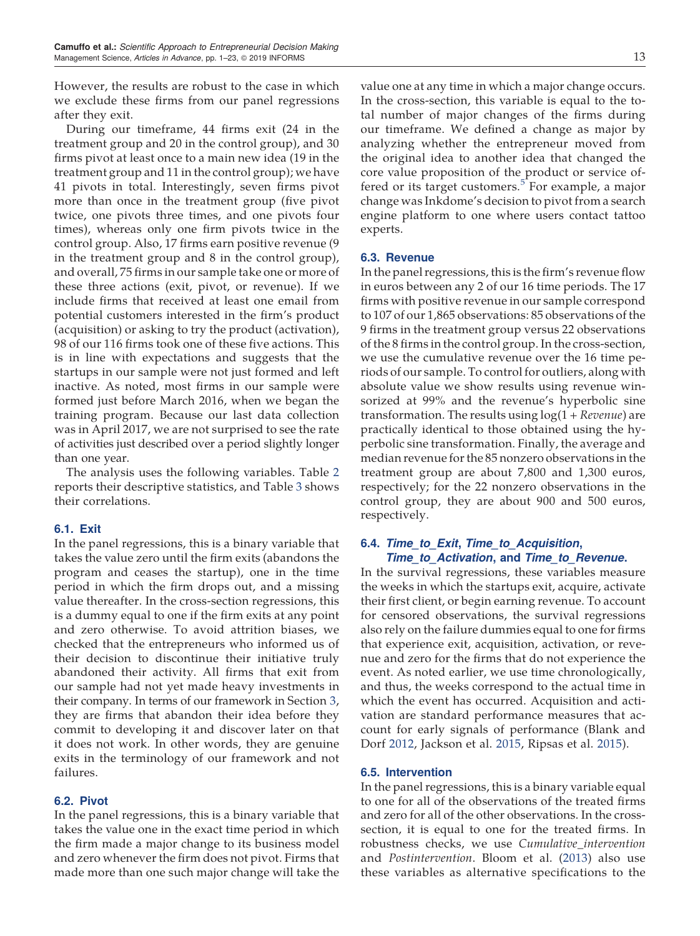However, the results are robust to the case in which we exclude these firms from our panel regressions after they exit.

During our timeframe, 44 firms exit (24 in the treatment group and 20 in the control group), and 30 firms pivot at least once to a main new idea (19 in the treatment group and 11 in the control group); we have 41 pivots in total. Interestingly, seven firms pivot more than once in the treatment group (five pivot twice, one pivots three times, and one pivots four times), whereas only one firm pivots twice in the control group. Also, 17 firms earn positive revenue (9 in the treatment group and 8 in the control group), and overall, 75 firms in our sample take one or more of these three actions (exit, pivot, or revenue). If we include firms that received at least one email from potential customers interested in the firm's product (acquisition) or asking to try the product (activation), 98 of our 116 firms took one of these five actions. This is in line with expectations and suggests that the startups in our sample were not just formed and left inactive. As noted, most firms in our sample were formed just before March 2016, when we began the training program. Because our last data collection was in April 2017, we are not surprised to see the rate of activities just described over a period slightly longer than one year.

The analysis uses the following variables. Table 2 reports their descriptive statistics, and Table 3 shows their correlations.

### 6.1. Exit

In the panel regressions, this is a binary variable that takes the value zero until the firm exits (abandons the program and ceases the startup), one in the time period in which the firm drops out, and a missing value thereafter. In the cross-section regressions, this is a dummy equal to one if the firm exits at any point and zero otherwise. To avoid attrition biases, we checked that the entrepreneurs who informed us of their decision to discontinue their initiative truly abandoned their activity. All firms that exit from our sample had not yet made heavy investments in their company. In terms of our framework in Section 3, they are firms that abandon their idea before they commit to developing it and discover later on that it does not work. In other words, they are genuine exits in the terminology of our framework and not failures.

## 6.2. Pivot

In the panel regressions, this is a binary variable that takes the value one in the exact time period in which the firm made a major change to its business model and zero whenever the firm does not pivot. Firms that made more than one such major change will take the

value one at any time in which a major change occurs. In the cross-section, this variable is equal to the total number of major changes of the firms during our timeframe. We defined a change as major by analyzing whether the entrepreneur moved from the original idea to another idea that changed the core value proposition of the product or service offered or its target customers.<sup>5</sup> For example, a major change was Inkdome's decision to pivot from a search engine platform to one where users contact tattoo experts.

## 6.3. Revenue

In the panel regressions, this is the firm's revenue flow in euros between any 2 of our 16 time periods. The 17 firms with positive revenue in our sample correspond to 107 of our 1,865 observations: 85 observations of the 9 firms in the treatment group versus 22 observations of the 8 firms in the control group. In the cross-section, we use the cumulative revenue over the 16 time periods of our sample. To control for outliers, along with absolute value we show results using revenue winsorized at 99% and the revenue's hyperbolic sine transformation. The results using log(1 + *Revenue*) are practically identical to those obtained using the hyperbolic sine transformation. Finally, the average and median revenue for the 85 nonzero observations in the treatment group are about 7,800 and 1,300 euros, respectively; for the 22 nonzero observations in the control group, they are about 900 and 500 euros, respectively.

## 6.4. Time\_to\_Exit, Time\_to\_Acquisition, Time\_to\_Activation, and Time\_to\_Revenue.

In the survival regressions, these variables measure the weeks in which the startups exit, acquire, activate their first client, or begin earning revenue. To account for censored observations, the survival regressions also rely on the failure dummies equal to one for firms that experience exit, acquisition, activation, or revenue and zero for the firms that do not experience the event. As noted earlier, we use time chronologically, and thus, the weeks correspond to the actual time in which the event has occurred. Acquisition and activation are standard performance measures that account for early signals of performance (Blank and Dorf 2012, Jackson et al. 2015, Ripsas et al. 2015).

### 6.5. Intervention

In the panel regressions, this is a binary variable equal to one for all of the observations of the treated firms and zero for all of the other observations. In the crosssection, it is equal to one for the treated firms. In robustness checks, we use *Cumulative\_intervention* and *Postintervention*. Bloom et al. (2013) also use these variables as alternative specifications to the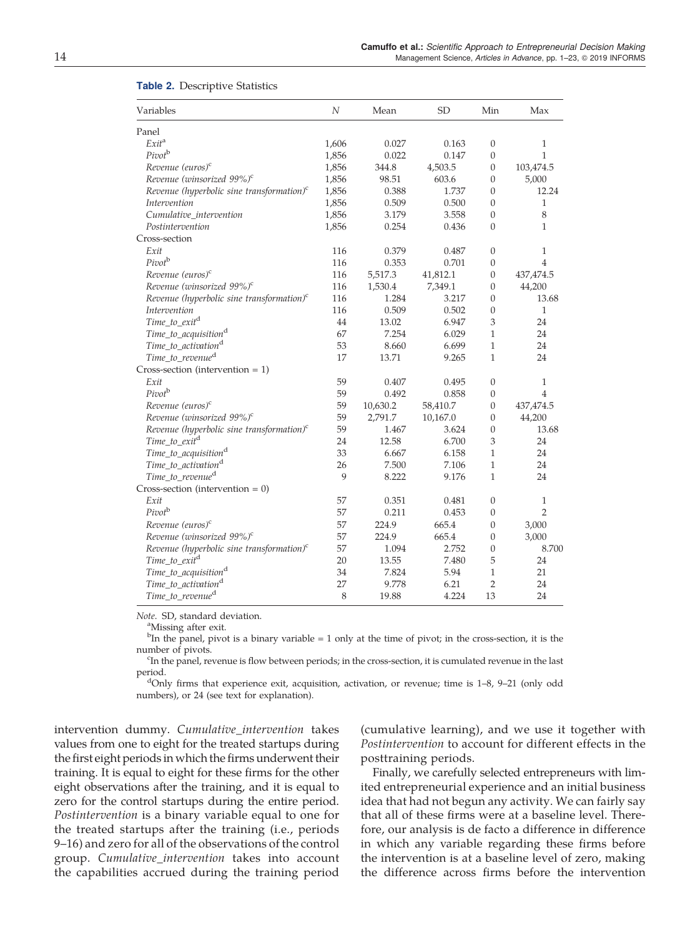#### Table 2. Descriptive Statistics

| Variables                                                     | N     | Mean     | <b>SD</b> | Min              | Max            |
|---------------------------------------------------------------|-------|----------|-----------|------------------|----------------|
| Panel                                                         |       |          |           |                  |                |
| $Exit^a$                                                      | 1,606 | 0.027    | 0.163     | $\boldsymbol{0}$ | $\mathbf{1}$   |
| Pivotb                                                        | 1,856 | 0.022    | 0.147     | $\mathbf{0}$     | $\mathbf{1}$   |
| Revenue (euros) <sup>c</sup>                                  | 1,856 | 344.8    | 4,503.5   | $\mathbf{0}$     | 103,474.5      |
| Revenue (winsorized 99%) <sup>c</sup>                         | 1,856 | 98.51    | 603.6     | 0                | 5,000          |
| Revenue (hyperbolic sine transformation) $c$                  | 1,856 | 0.388    | 1.737     | $\mathbf{0}$     | 12.24          |
| Intervention                                                  | 1,856 | 0.509    | 0.500     | 0                | $\mathbf{1}$   |
| Cumulative_intervention                                       | 1,856 | 3.179    | 3.558     | $\mathbf{0}$     | 8              |
| Postintervention                                              | 1,856 | 0.254    | 0.436     | $\Omega$         | 1              |
| Cross-section                                                 |       |          |           |                  |                |
| Exit                                                          | 116   | 0.379    | 0.487     | $\mathbf{0}$     | $\mathbf{1}$   |
| $Pivot^b$                                                     | 116   | 0.353    | 0.701     | $\boldsymbol{0}$ | $\overline{4}$ |
| Revenue (euros) <sup>c</sup>                                  | 116   | 5,517.3  | 41,812.1  | $\mathbf{0}$     | 437,474.5      |
| Revenue (winsorized 99%) <sup>c</sup>                         | 116   | 1,530.4  | 7,349.1   | $\overline{0}$   | 44,200         |
| Revenue (hyperbolic sine transformation) $c$                  | 116   | 1.284    | 3.217     | $\overline{0}$   | 13.68          |
| <i>Intervention</i>                                           | 116   | 0.509    | 0.502     | $\overline{0}$   | $\mathbf{1}$   |
| Time_to_exit <sup>d</sup>                                     | 44    | 13.02    | 6.947     | 3                | 24             |
| Time_to_acquisition <sup>d</sup>                              | 67    | 7.254    | 6.029     | $\mathbf{1}$     | 24             |
| Time_to_activation <sup>d</sup>                               | 53    | 8.660    | 6.699     | $\mathbf{1}$     | 24             |
| Time_to_revenue <sup>d</sup>                                  | 17    | 13.71    | 9.265     | $\mathbf{1}$     | 24             |
| Cross-section (intervention $= 1$ )                           |       |          |           |                  |                |
| Exit                                                          | 59    | 0.407    | 0.495     | 0                | 1              |
| $Pivot^b$                                                     | 59    | 0.492    | 0.858     | $\boldsymbol{0}$ | $\overline{4}$ |
| Revenue (euros) <sup>c</sup>                                  | 59    | 10,630.2 | 58,410.7  | $\boldsymbol{0}$ | 437,474.5      |
| Revenue (winsorized 99%) <sup>c</sup>                         | 59    | 2,791.7  | 10,167.0  | 0                | 44,200         |
| Revenue (hyperbolic sine transformation) <sup>c</sup>         | 59    | 1.467    | 3.624     | $\overline{0}$   | 13.68          |
| Time_to_exit <sup>d</sup>                                     | 24    | 12.58    | 6.700     | 3                | 24             |
| Time_to_acquisition <sup>d</sup>                              | 33    | 6.667    | 6.158     | $\mathbf{1}$     | 24             |
| Time_to_activation <sup>d</sup>                               | 26    | 7.500    | 7.106     | $\mathbf{1}$     | 24             |
| Time_to_revenue <sup>d</sup>                                  | 9     | 8.222    | 9.176     | $\mathbf{1}$     | 24             |
| Cross-section (intervention $= 0$ )                           |       |          |           |                  |                |
| Exit                                                          | 57    | 0.351    | 0.481     | 0                | 1              |
| $Pivot^b$                                                     | 57    | 0.211    | 0.453     | $\overline{0}$   | $\overline{2}$ |
| Revenue (euros) <sup>c</sup>                                  | 57    | 224.9    | 665.4     | $\boldsymbol{0}$ | 3,000          |
| Revenue (winsorized 99%) <sup>c</sup>                         | 57    | 224.9    | 665.4     | 0                | 3,000          |
| Revenue (hyperbolic sine transformation) $c$                  | 57    | 1.094    | 2.752     | $\overline{0}$   | 8.700          |
|                                                               | 20    | 13.55    | 7.480     | 5                | 24             |
| Time_to_exit <sup>d</sup><br>Time_to_acquisition <sup>d</sup> | 34    | 7.824    | 5.94      | $\mathbf{1}$     | 21             |
| Time_to_activation <sup>d</sup>                               | 27    | 9.778    | 6.21      | $\overline{2}$   | 24             |
|                                                               | 8     |          |           | 13               | 24             |
| Time_to_revenue <sup>d</sup>                                  |       | 19.88    | 4.224     |                  |                |

*Note*. SD, standard deviation.

<sup>a</sup>Missing after exit.

<sup>b</sup>In the panel, pivot is a binary variable = 1 only at the time of pivot; in the cross-section, it is the number of pivots.

c In the panel, revenue is flow between periods; in the cross-section, it is cumulated revenue in the last period.

dOnly firms that experience exit, acquisition, activation, or revenue; time is 1-8, 9-21 (only odd numbers), or 24 (see text for explanation).

intervention dummy. *Cumulative\_intervention* takes values from one to eight for the treated startups during the first eight periods in which the firms underwent their training. It is equal to eight for these firms for the other eight observations after the training, and it is equal to zero for the control startups during the entire period. *Postintervention* is a binary variable equal to one for the treated startups after the training (i.e., periods 9–16) and zero for all of the observations of the control group. *Cumulative\_intervention* takes into account the capabilities accrued during the training period

(cumulative learning), and we use it together with *Postintervention* to account for different effects in the posttraining periods.

Finally, we carefully selected entrepreneurs with limited entrepreneurial experience and an initial business idea that had not begun any activity. We can fairly say that all of these firms were at a baseline level. Therefore, our analysis is de facto a difference in difference in which any variable regarding these firms before the intervention is at a baseline level of zero, making the difference across firms before the intervention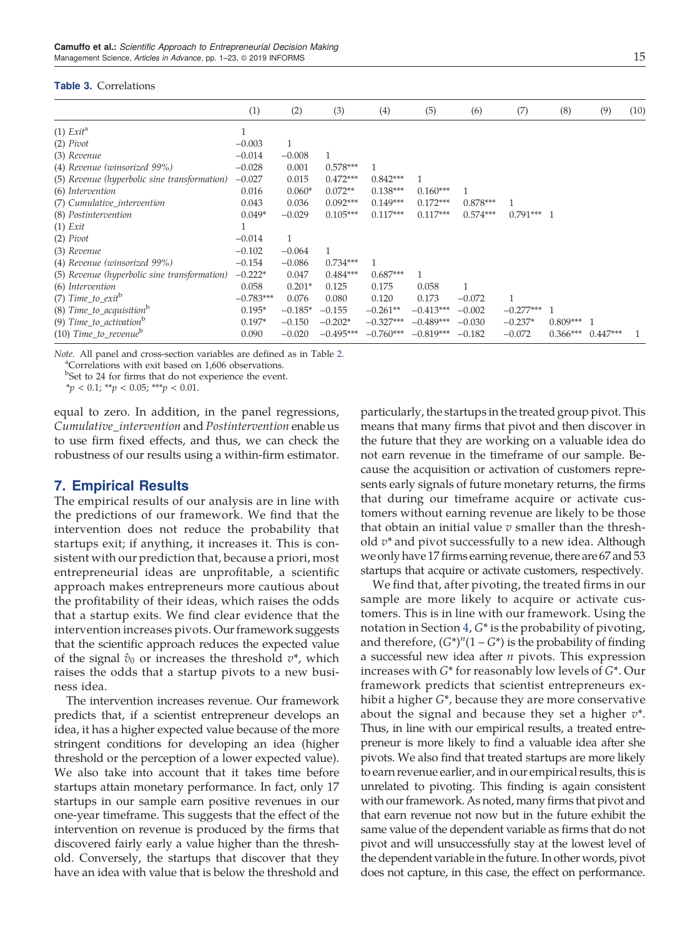#### Table 3. Correlations

|                                              | (1)         | (2)       | (3)         | (4)          | (5)          | (6)        | (7)          | (8)          | (9)        | (10) |
|----------------------------------------------|-------------|-----------|-------------|--------------|--------------|------------|--------------|--------------|------------|------|
| $(1)$ Exit <sup>a</sup>                      |             |           |             |              |              |            |              |              |            |      |
| $(2)$ Pivot                                  | $-0.003$    |           |             |              |              |            |              |              |            |      |
| (3) Revenue                                  | $-0.014$    | $-0.008$  | 1           |              |              |            |              |              |            |      |
| (4) Revenue (winsorized 99%)                 | $-0.028$    | 0.001     | $0.578***$  |              |              |            |              |              |            |      |
| (5) Revenue (hyperbolic sine transformation) | $-0.027$    | 0.015     | $0.472***$  | $0.842***$   | $\mathbf{1}$ |            |              |              |            |      |
| (6) Intervention                             | 0.016       | $0.060*$  | $0.072**$   | $0.138***$   | $0.160***$   |            |              |              |            |      |
| (7) Cumulative_intervention                  | 0.043       | 0.036     | $0.092***$  | $0.149***$   | $0.172***$   | $0.878***$ |              |              |            |      |
| (8) Postintervention                         | $0.049*$    | $-0.029$  | $0.105***$  | $0.117***$   | $0.117***$   | $0.574***$ | $0.791***$ 1 |              |            |      |
| $(1)$ Exit                                   |             |           |             |              |              |            |              |              |            |      |
| $(2)$ Pivot                                  | $-0.014$    | 1         |             |              |              |            |              |              |            |      |
| (3) Revenue                                  | $-0.102$    | $-0.064$  | 1           |              |              |            |              |              |            |      |
| (4) Revenue (winsorized 99%)                 | $-0.154$    | $-0.086$  | $0.734***$  | $\mathbf{1}$ |              |            |              |              |            |      |
| (5) Revenue (hyperbolic sine transformation) | $-0.222*$   | 0.047     | $0.484***$  | $0.687***$   | $\mathbf{1}$ |            |              |              |            |      |
| (6) Intervention                             | 0.058       | $0.201*$  | 0.125       | 0.175        | 0.058        |            |              |              |            |      |
| (7) $Time_to\_exit^b$                        | $-0.783***$ | 0.076     | 0.080       | 0.120        | 0.173        | $-0.072$   |              |              |            |      |
| (8) $Time_to_aequistionb$                    | $0.195*$    | $-0.185*$ | $-0.155$    | $-0.261**$   | $-0.413***$  | $-0.002$   | $-0.277***$  |              |            |      |
| (9) $Time_to_activation^b$                   | $0.197*$    | $-0.150$  | $-0.202*$   | $-0.327***$  | $-0.489***$  | $-0.030$   | $-0.237*$    | $0.809***$ 1 |            |      |
| $(10)$ Time_to_revenue <sup>b</sup>          | 0.090       | $-0.020$  | $-0.495***$ | $-0.760***$  | $-0.819***$  | $-0.182$   | $-0.072$     | $0.366***$   | $0.447***$ |      |

*Note.* All panel and cross-section variables are defined as in Table 2.

<sup>a</sup>Correlations with exit based on 1,606 observations.

<sup>b</sup>Set to 24 for firms that do not experience the event.

 $**p* < 0.1; ***p* < 0.05; ****p* < 0.01.$ 

equal to zero. In addition, in the panel regressions, *Cumulative\_intervention* and *Postintervention* enable us to use firm fixed effects, and thus, we can check the robustness of our results using a within-firm estimator.

## 7. Empirical Results

The empirical results of our analysis are in line with the predictions of our framework. We find that the intervention does not reduce the probability that startups exit; if anything, it increases it. This is consistent with our prediction that, because a priori, most entrepreneurial ideas are unprofitable, a scientific approach makes entrepreneurs more cautious about the profitability of their ideas, which raises the odds that a startup exits. We find clear evidence that the intervention increases pivots. Our framework suggests that the scientific approach reduces the expected value of the signal  $\hat{v}_0$  or increases the threshold  $v^*$ , which raises the odds that a startup pivots to a new business idea.

The intervention increases revenue. Our framework predicts that, if a scientist entrepreneur develops an idea, it has a higher expected value because of the more stringent conditions for developing an idea (higher threshold or the perception of a lower expected value). We also take into account that it takes time before startups attain monetary performance. In fact, only 17 startups in our sample earn positive revenues in our one-year timeframe. This suggests that the effect of the intervention on revenue is produced by the firms that discovered fairly early a value higher than the threshold. Conversely, the startups that discover that they have an idea with value that is below the threshold and

particularly, the startups in the treated group pivot. This means that many firms that pivot and then discover in the future that they are working on a valuable idea do not earn revenue in the timeframe of our sample. Because the acquisition or activation of customers represents early signals of future monetary returns, the firms that during our timeframe acquire or activate customers without earning revenue are likely to be those that obtain an initial value *v* smaller than the threshold *v*\* and pivot successfully to a new idea. Although we only have 17 firms earning revenue, there are 67 and 53 startups that acquire or activate customers, respectively.

We find that, after pivoting, the treated firms in our sample are more likely to acquire or activate customers. This is in line with our framework. Using the notation in Section 4, *G*\* is the probability of pivoting, and therefore,  $(G^*)^n(1-G^*)$  is the probability of finding a successful new idea after *n* pivots. This expression increases with *G*\* for reasonably low levels of *G*\*. Our framework predicts that scientist entrepreneurs exhibit a higher *G*\*, because they are more conservative about the signal and because they set a higher *v*\*. Thus, in line with our empirical results, a treated entrepreneur is more likely to find a valuable idea after she pivots. We also find that treated startups are more likely to earn revenue earlier, and in our empirical results, this is unrelated to pivoting. This finding is again consistent with our framework. As noted, many firms that pivot and that earn revenue not now but in the future exhibit the same value of the dependent variable as firms that do not pivot and will unsuccessfully stay at the lowest level of the dependent variable in the future. In other words, pivot does not capture, in this case, the effect on performance.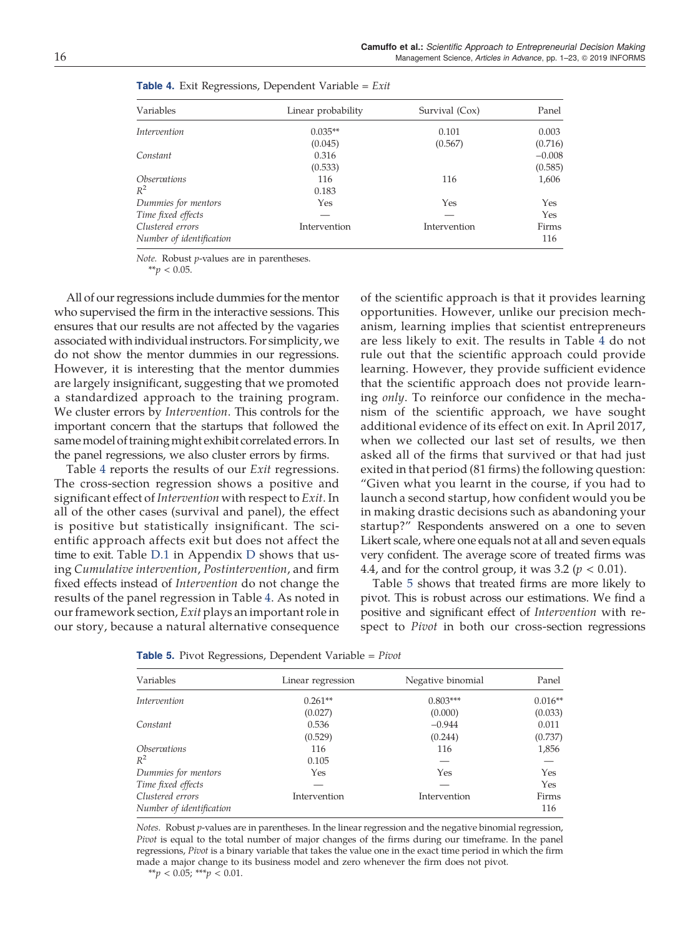| Variables                  | Linear probability | Survival (Cox) | Panel    |
|----------------------------|--------------------|----------------|----------|
| <i>Intervention</i>        | $0.035**$          | 0.101          | 0.003    |
|                            | (0.045)            | (0.567)        | (0.716)  |
| Constant                   | 0.316              |                | $-0.008$ |
|                            | (0.533)            |                | (0.585)  |
| <i><b>Observations</b></i> | 116                | 116            | 1,606    |
| $R^2$                      | 0.183              |                |          |
| Dummies for mentors        | Yes                | Yes            | Yes      |
| Time fixed effects         |                    |                | Yes      |
| Clustered errors           | Intervention       | Intervention   | Firms    |
| Number of identification   |                    |                | 116      |

|  |  | Table 4. Exit Regressions, Dependent Variable = Exit |  |  |  |
|--|--|------------------------------------------------------|--|--|--|
|--|--|------------------------------------------------------|--|--|--|

*Note.* Robust *p*-values are in parentheses.

 $*^*p < 0.05$ .

All of our regressions include dummies for the mentor who supervised the firm in the interactive sessions. This ensures that our results are not affected by the vagaries associated with individual instructors. For simplicity, we do not show the mentor dummies in our regressions. However, it is interesting that the mentor dummies are largely insignificant, suggesting that we promoted a standardized approach to the training program. We cluster errors by *Intervention*. This controls for the important concern that the startups that followed the same model of training might exhibit correlated errors. In the panel regressions, we also cluster errors by firms.

Table 4 reports the results of our *Exit* regressions. The cross-section regression shows a positive and significant effect of *Intervention* with respect to *Exit*. In all of the other cases (survival and panel), the effect is positive but statistically insignificant. The scientific approach affects exit but does not affect the time to exit. Table D.1 in Appendix D shows that using *Cumulative intervention*, *Postintervention*, and firm fixed effects instead of *Intervention* do not change the results of the panel regression in Table 4. As noted in our framework section, *Exit* plays an important role in our story, because a natural alternative consequence

of the scientific approach is that it provides learning opportunities. However, unlike our precision mechanism, learning implies that scientist entrepreneurs are less likely to exit. The results in Table 4 do not rule out that the scientific approach could provide learning. However, they provide sufficient evidence that the scientific approach does not provide learning *only*. To reinforce our confidence in the mechanism of the scientific approach, we have sought additional evidence of its effect on exit. In April 2017, when we collected our last set of results, we then asked all of the firms that survived or that had just exited in that period (81 firms) the following question: "Given what you learnt in the course, if you had to launch a second startup, how confident would you be in making drastic decisions such as abandoning your startup?" Respondents answered on a one to seven Likert scale, where one equals not at all and seven equals very confident. The average score of treated firms was 4.4, and for the control group, it was  $3.2 (p < 0.01)$ .

Table 5 shows that treated firms are more likely to pivot. This is robust across our estimations. We find a positive and significant effect of *Intervention* with respect to *Pivot* in both our cross-section regressions

Table 5. Pivot Regressions, Dependent Variable = *Pivot*

| Variables                  | Linear regression | Negative binomial | Panel     |
|----------------------------|-------------------|-------------------|-----------|
| Intervention               | $0.261**$         | $0.803***$        | $0.016**$ |
|                            | (0.027)           | (0.000)           | (0.033)   |
| Constant                   | 0.536             | $-0.944$          | 0.011     |
|                            | (0.529)           | (0.244)           | (0.737)   |
| <i><b>Observations</b></i> | 116               | 116               | 1,856     |
| $R^2$                      | 0.105             |                   |           |
| Dummies for mentors        | Yes               | Yes               | Yes       |
| Time fixed effects         |                   |                   | Yes       |
| Clustered errors           | Intervention      | Intervention      | Firms     |
| Number of identification   |                   |                   | 116       |

*Notes.* Robust *p*-values are in parentheses. In the linear regression and the negative binomial regression, *Pivot* is equal to the total number of major changes of the firms during our timeframe. In the panel regressions, *Pivot* is a binary variable that takes the value one in the exact time period in which the firm made a major change to its business model and zero whenever the firm does not pivot.

\*\**p* < 0.05; \*\*\**p* < 0.01.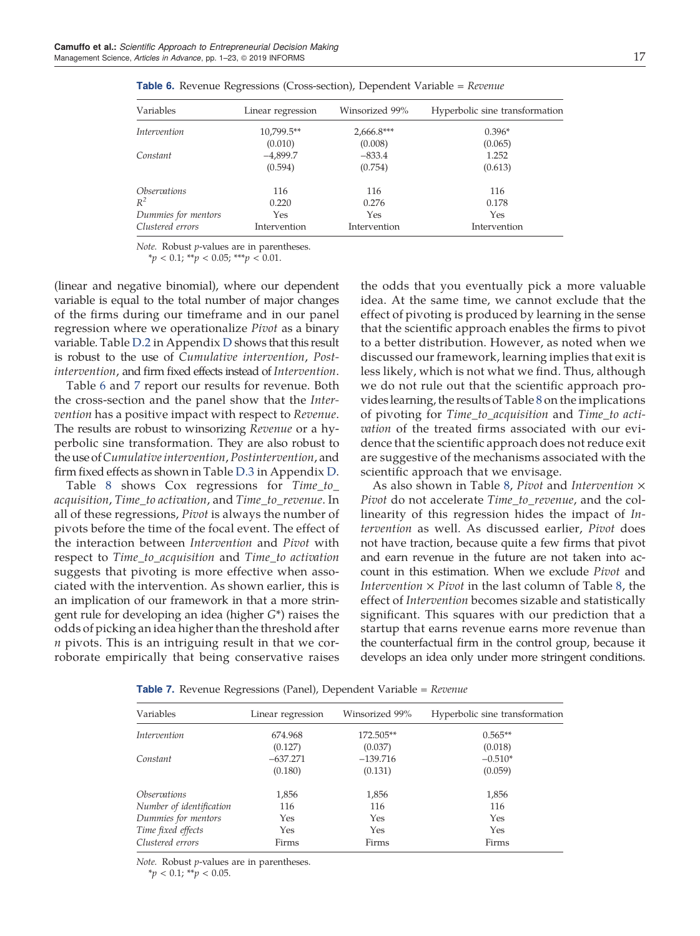| Variables                  | Linear regression | Winsorized 99% | Hyperbolic sine transformation |
|----------------------------|-------------------|----------------|--------------------------------|
| Intervention               | 10,799.5**        | $2,666.8***$   | $0.396*$                       |
|                            | (0.010)           | (0.008)        | (0.065)                        |
| Constant                   | $-4,899.7$        | $-833.4$       | 1.252                          |
|                            | (0.594)           | (0.754)        | (0.613)                        |
| <i><b>Observations</b></i> | 116               | 116            | 116                            |
| $R^2$                      | 0.220             | 0.276          | 0.178                          |
| Dummies for mentors        | Yes               | Yes            | Yes                            |
| Clustered errors           | Intervention      | Intervention   | Intervention                   |

Table 6. Revenue Regressions (Cross-section), Dependent Variable = *Revenue*

*Note.* Robust *p*-values are in parentheses.

\**p* < 0.1; \*\**p* < 0.05; \*\*\**p* < 0.01.

(linear and negative binomial), where our dependent variable is equal to the total number of major changes of the firms during our timeframe and in our panel regression where we operationalize *Pivot* as a binary variable. Table D.2 in Appendix D shows that this result is robust to the use of *Cumulative intervention*, *Postintervention*, and firm fixed effects instead of *Intervention*.

Table 6 and 7 report our results for revenue. Both the cross-section and the panel show that the *Intervention* has a positive impact with respect to *Revenue*. The results are robust to winsorizing *Revenue* or a hyperbolic sine transformation. They are also robust to the use of*Cumulative intervention*, *Postintervention*, and firm fixed effects as shown in Table D.3 in Appendix D.

Table 8 shows Cox regressions for *Time\_to\_ acquisition*, *Time\_to activation*, and *Time\_to\_revenue*. In all of these regressions, *Pivot* is always the number of pivots before the time of the focal event. The effect of the interaction between *Intervention* and *Pivot* with respect to *Time\_to\_acquisition* and *Time\_to activation* suggests that pivoting is more effective when associated with the intervention. As shown earlier, this is an implication of our framework in that a more stringent rule for developing an idea (higher *G*\*) raises the odds of picking an idea higher than the threshold after *n* pivots. This is an intriguing result in that we corroborate empirically that being conservative raises

the odds that you eventually pick a more valuable idea. At the same time, we cannot exclude that the effect of pivoting is produced by learning in the sense that the scientific approach enables the firms to pivot to a better distribution. However, as noted when we discussed our framework, learning implies that exit is less likely, which is not what we find. Thus, although we do not rule out that the scientific approach provides learning, the results of Table 8 on the implications of pivoting for *Time\_to\_acquisition* and *Time\_to activation* of the treated firms associated with our evidence that the scientific approach does not reduce exit are suggestive of the mechanisms associated with the scientific approach that we envisage.

As also shown in Table 8, *Pivot* and *Intervention* × *Pivot* do not accelerate *Time\_to\_revenue*, and the collinearity of this regression hides the impact of *Intervention* as well. As discussed earlier, *Pivot* does not have traction, because quite a few firms that pivot and earn revenue in the future are not taken into account in this estimation. When we exclude *Pivot* and *Intervention* × *Pivot* in the last column of Table 8, the effect of *Intervention* becomes sizable and statistically significant. This squares with our prediction that a startup that earns revenue earns more revenue than the counterfactual firm in the control group, because it develops an idea only under more stringent conditions.

| Variables                  | Linear regression | Winsorized 99% | Hyperbolic sine transformation |
|----------------------------|-------------------|----------------|--------------------------------|
| <i>Intervention</i>        | 674.968           | $172.505**$    | $0.565**$                      |
|                            | (0.127)           | (0.037)        | (0.018)                        |
| Constant                   | $-637.271$        | $-139.716$     | $-0.510*$                      |
|                            | (0.180)           | (0.131)        | (0.059)                        |
| <i><b>Observations</b></i> | 1,856             | 1,856          | 1,856                          |
| Number of identification   | 116               | 116            | 116                            |
| Dummies for mentors        | Yes               | Yes            | Yes                            |
| Time fixed effects         | Yes               | Yes            | Yes                            |
| Clustered errors           | Firms             | Firms          | Firms                          |

Table 7. Revenue Regressions (Panel), Dependent Variable = *Revenue*

*Note.* Robust *p*-values are in parentheses.

\**p* < 0.1; \*\**p* < 0.05.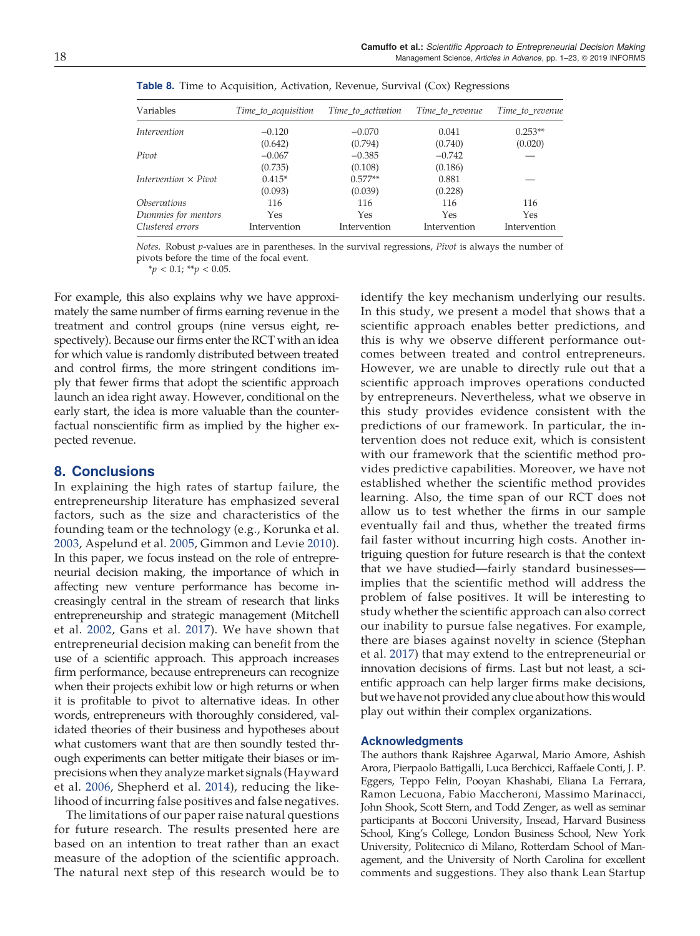| Variables                   | Time_to_acquisition | Time to activation | Time to revenue | Time to revenue |
|-----------------------------|---------------------|--------------------|-----------------|-----------------|
| <i>Intervention</i>         | $-0.120$            | $-0.070$           | 0.041           | $0.253**$       |
|                             | (0.642)             | (0.794)            | (0.740)         | (0.020)         |
| Pivot                       | $-0.067$            | $-0.385$           | $-0.742$        |                 |
|                             | (0.735)             | (0.108)            | (0.186)         |                 |
| Intervention $\times$ Pivot | $0.415*$            | $0.577**$          | 0.881           |                 |
|                             | (0.093)             | (0.039)            | (0.228)         |                 |
| <i><b>Observations</b></i>  | 116                 | 116                | 116             | 116             |
| Dummies for mentors         | Yes                 | Yes                | Yes             | Yes             |
| Clustered errors            | Intervention        | Intervention       | Intervention    | Intervention    |

|  |  |  |  |  |  |  |  | Table 8. Time to Acquisition, Activation, Revenue, Survival (Cox) Regressions |
|--|--|--|--|--|--|--|--|-------------------------------------------------------------------------------|
|--|--|--|--|--|--|--|--|-------------------------------------------------------------------------------|

*Notes.* Robust *p*-values are in parentheses. In the survival regressions, *Pivot* is always the number of pivots before the time of the focal event.

\**p* < 0.1; \*\**p* < 0.05.

For example, this also explains why we have approximately the same number of firms earning revenue in the treatment and control groups (nine versus eight, respectively). Because our firms enter the RCT with an idea for which value is randomly distributed between treated and control firms, the more stringent conditions imply that fewer firms that adopt the scientific approach launch an idea right away. However, conditional on the early start, the idea is more valuable than the counterfactual nonscientific firm as implied by the higher expected revenue.

## 8. Conclusions

In explaining the high rates of startup failure, the entrepreneurship literature has emphasized several factors, such as the size and characteristics of the founding team or the technology (e.g., Korunka et al. 2003, Aspelund et al. 2005, Gimmon and Levie 2010). In this paper, we focus instead on the role of entrepreneurial decision making, the importance of which in affecting new venture performance has become increasingly central in the stream of research that links entrepreneurship and strategic management (Mitchell et al. 2002, Gans et al. 2017). We have shown that entrepreneurial decision making can benefit from the use of a scientific approach. This approach increases firm performance, because entrepreneurs can recognize when their projects exhibit low or high returns or when it is profitable to pivot to alternative ideas. In other words, entrepreneurs with thoroughly considered, validated theories of their business and hypotheses about what customers want that are then soundly tested through experiments can better mitigate their biases or imprecisions when they analyze market signals (Hayward et al. 2006, Shepherd et al. 2014), reducing the likelihood of incurring false positives and false negatives.

The limitations of our paper raise natural questions for future research. The results presented here are based on an intention to treat rather than an exact measure of the adoption of the scientific approach. The natural next step of this research would be to

identify the key mechanism underlying our results. In this study, we present a model that shows that a scientific approach enables better predictions, and this is why we observe different performance outcomes between treated and control entrepreneurs. However, we are unable to directly rule out that a scientific approach improves operations conducted by entrepreneurs. Nevertheless, what we observe in this study provides evidence consistent with the predictions of our framework. In particular, the intervention does not reduce exit, which is consistent with our framework that the scientific method provides predictive capabilities. Moreover, we have not established whether the scientific method provides learning. Also, the time span of our RCT does not allow us to test whether the firms in our sample eventually fail and thus, whether the treated firms fail faster without incurring high costs. Another intriguing question for future research is that the context that we have studied—fairly standard businesses implies that the scientific method will address the problem of false positives. It will be interesting to study whether the scientific approach can also correct our inability to pursue false negatives. For example, there are biases against novelty in science (Stephan et al. 2017) that may extend to the entrepreneurial or innovation decisions of firms. Last but not least, a scientific approach can help larger firms make decisions, but we have not provided any clue about how this would play out within their complex organizations.

#### Acknowledgments

The authors thank Rajshree Agarwal, Mario Amore, Ashish Arora, Pierpaolo Battigalli, Luca Berchicci, Raffaele Conti, J. P. Eggers, Teppo Felin, Pooyan Khashabi, Eliana La Ferrara, Ramon Lecuona, Fabio Maccheroni, Massimo Marinacci, John Shook, Scott Stern, and Todd Zenger, as well as seminar participants at Bocconi University, Insead, Harvard Business School, King's College, London Business School, New York University, Politecnico di Milano, Rotterdam School of Management, and the University of North Carolina for excellent comments and suggestions. They also thank Lean Startup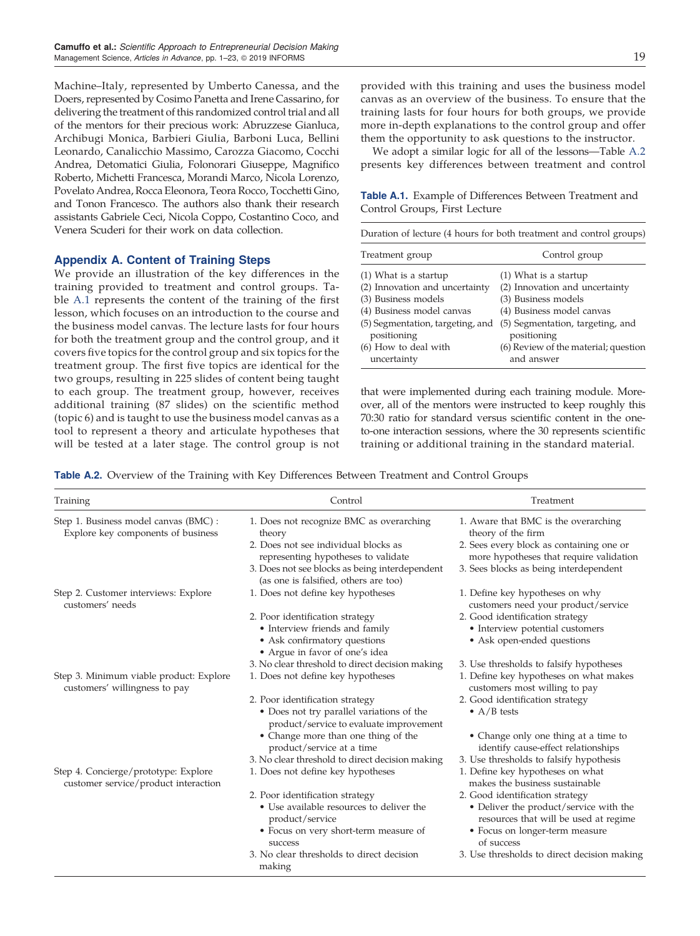Machine–Italy, represented by Umberto Canessa, and the Doers, represented by Cosimo Panetta and Irene Cassarino, for delivering the treatment of this randomized control trial and all of the mentors for their precious work: Abruzzese Gianluca, Archibugi Monica, Barbieri Giulia, Barboni Luca, Bellini Leonardo, Canalicchio Massimo, Carozza Giacomo, Cocchi Andrea, Detomatici Giulia, Folonorari Giuseppe, Magnifico Roberto, Michetti Francesca, Morandi Marco, Nicola Lorenzo, Povelato Andrea, Rocca Eleonora, Teora Rocco, Tocchetti Gino, and Tonon Francesco. The authors also thank their research assistants Gabriele Ceci, Nicola Coppo, Costantino Coco, and Venera Scuderi for their work on data collection.

#### Appendix A. Content of Training Steps

We provide an illustration of the key differences in the training provided to treatment and control groups. Table A.1 represents the content of the training of the first lesson, which focuses on an introduction to the course and the business model canvas. The lecture lasts for four hours for both the treatment group and the control group, and it covers five topics for the control group and six topics for the treatment group. The first five topics are identical for the two groups, resulting in 225 slides of content being taught to each group. The treatment group, however, receives additional training (87 slides) on the scientific method (topic 6) and is taught to use the business model canvas as a tool to represent a theory and articulate hypotheses that will be tested at a later stage. The control group is not

We adopt a similar logic for all of the lessons—Table A.2 presents key differences between treatment and control

Table A.1. Example of Differences Between Treatment and Control Groups, First Lecture

Duration of lecture (4 hours for both treatment and control groups)

| Treatment group                  | Control group                        |
|----------------------------------|--------------------------------------|
| $(1)$ What is a startup          | (1) What is a startup                |
| (2) Innovation and uncertainty   | (2) Innovation and uncertainty       |
| (3) Business models              | (3) Business models                  |
| (4) Business model canvas        | (4) Business model canvas            |
| (5) Segmentation, targeting, and | (5) Segmentation, targeting, and     |
| positioning                      | positioning                          |
| (6) How to deal with             | (6) Review of the material; question |
| uncertainty                      | and answer                           |

that were implemented during each training module. Moreover, all of the mentors were instructed to keep roughly this 70:30 ratio for standard versus scientific content in the oneto-one interaction sessions, where the 30 represents scientific training or additional training in the standard material.

Table A.2. Overview of the Training with Key Differences Between Treatment and Control Groups

| Training                                                                     | Control                                                                                                                             | Treatment                                                                                        |
|------------------------------------------------------------------------------|-------------------------------------------------------------------------------------------------------------------------------------|--------------------------------------------------------------------------------------------------|
| Step 1. Business model canvas (BMC) :<br>Explore key components of business  | 1. Does not recognize BMC as overarching<br>theory                                                                                  | 1. Aware that BMC is the overarching<br>theory of the firm                                       |
|                                                                              | 2. Does not see individual blocks as<br>representing hypotheses to validate                                                         | 2. Sees every block as containing one or<br>more hypotheses that require validation              |
|                                                                              | 3. Does not see blocks as being interdependent<br>(as one is falsified, others are too)                                             | 3. Sees blocks as being interdependent                                                           |
| Step 2. Customer interviews: Explore<br>customers' needs                     | 1. Does not define key hypotheses                                                                                                   | 1. Define key hypotheses on why<br>customers need your product/service                           |
|                                                                              | 2. Poor identification strategy<br>• Interview friends and family<br>• Ask confirmatory questions<br>• Argue in favor of one's idea | 2. Good identification strategy<br>• Interview potential customers<br>• Ask open-ended questions |
|                                                                              | 3. No clear threshold to direct decision making                                                                                     | 3. Use thresholds to falsify hypotheses                                                          |
| Step 3. Minimum viable product: Explore<br>customers' willingness to pay     | 1. Does not define key hypotheses                                                                                                   | 1. Define key hypotheses on what makes<br>customers most willing to pay                          |
|                                                                              | 2. Poor identification strategy<br>• Does not try parallel variations of the<br>product/service to evaluate improvement             | 2. Good identification strategy<br>• $A/B$ tests                                                 |
|                                                                              | • Change more than one thing of the<br>product/service at a time                                                                    | • Change only one thing at a time to<br>identify cause-effect relationships                      |
|                                                                              | 3. No clear threshold to direct decision making                                                                                     | 3. Use thresholds to falsify hypothesis                                                          |
| Step 4. Concierge/prototype: Explore<br>customer service/product interaction | 1. Does not define key hypotheses                                                                                                   | 1. Define key hypotheses on what<br>makes the business sustainable                               |
|                                                                              | 2. Poor identification strategy                                                                                                     | 2. Good identification strategy                                                                  |
|                                                                              | • Use available resources to deliver the<br>product/service                                                                         | • Deliver the product/service with the<br>resources that will be used at regime                  |
|                                                                              | • Focus on very short-term measure of<br>success                                                                                    | • Focus on longer-term measure<br>of success                                                     |
|                                                                              | 3. No clear thresholds to direct decision<br>making                                                                                 | 3. Use thresholds to direct decision making                                                      |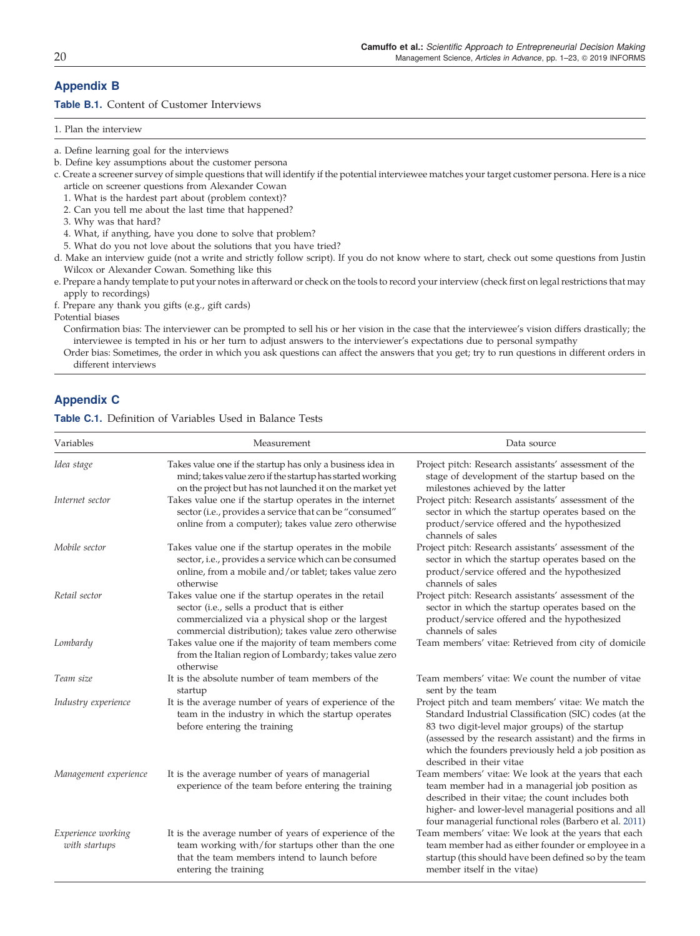# Appendix B

Table B.1. Content of Customer Interviews

#### 1. Plan the interview

- a. Define learning goal for the interviews
- b. Define key assumptions about the customer persona
- c. Create a screener survey of simple questions that will identify if the potential interviewee matches your target customer persona. Here is a nice article on screener questions from Alexander Cowan
	- 1. What is the hardest part about (problem context)?
	- 2. Can you tell me about the last time that happened?
	- 3. Why was that hard?
	- 4. What, if anything, have you done to solve that problem?
	- 5. What do you not love about the solutions that you have tried?
- d. Make an interview guide (not a write and strictly follow script). If you do not know where to start, check out some questions from Justin Wilcox or Alexander Cowan. Something like this
- e. Prepare a handy template to put your notes in afterward or check on the tools to record your interview (check first on legal restrictions that may apply to recordings)
- f. Prepare any thank you gifts (e.g., gift cards)

Potential biases

- Confirmation bias: The interviewer can be prompted to sell his or her vision in the case that the interviewee's vision differs drastically; the interviewee is tempted in his or her turn to adjust answers to the interviewer's expectations due to personal sympathy
- Order bias: Sometimes, the order in which you ask questions can affect the answers that you get; try to run questions in different orders in different interviews

## Appendix C

Table C.1. Definition of Variables Used in Balance Tests

| Variables                           | Measurement                                                                                                                                                                                                                                                                                                                                                      | Data source                                                                                                                                                                                                                                                                                                                       |
|-------------------------------------|------------------------------------------------------------------------------------------------------------------------------------------------------------------------------------------------------------------------------------------------------------------------------------------------------------------------------------------------------------------|-----------------------------------------------------------------------------------------------------------------------------------------------------------------------------------------------------------------------------------------------------------------------------------------------------------------------------------|
| Idea stage<br>Internet sector       | Takes value one if the startup has only a business idea in<br>mind; takes value zero if the startup has started working<br>on the project but has not launched it on the market yet<br>Takes value one if the startup operates in the internet<br>sector (i.e., provides a service that can be "consumed"<br>online from a computer); takes value zero otherwise | Project pitch: Research assistants' assessment of the<br>stage of development of the startup based on the<br>milestones achieved by the latter<br>Project pitch: Research assistants' assessment of the<br>sector in which the startup operates based on the<br>product/service offered and the hypothesized<br>channels of sales |
| Mobile sector                       | Takes value one if the startup operates in the mobile<br>sector, i.e., provides a service which can be consumed<br>online, from a mobile and/or tablet; takes value zero<br>otherwise                                                                                                                                                                            | Project pitch: Research assistants' assessment of the<br>sector in which the startup operates based on the<br>product/service offered and the hypothesized<br>channels of sales                                                                                                                                                   |
| Retail sector                       | Takes value one if the startup operates in the retail<br>sector (i.e., sells a product that is either<br>commercialized via a physical shop or the largest<br>commercial distribution); takes value zero otherwise                                                                                                                                               | Project pitch: Research assistants' assessment of the<br>sector in which the startup operates based on the<br>product/service offered and the hypothesized<br>channels of sales                                                                                                                                                   |
| Lombardy                            | Takes value one if the majority of team members come<br>from the Italian region of Lombardy; takes value zero<br>otherwise                                                                                                                                                                                                                                       | Team members' vitae: Retrieved from city of domicile                                                                                                                                                                                                                                                                              |
| Team size                           | It is the absolute number of team members of the<br>startup                                                                                                                                                                                                                                                                                                      | Team members' vitae: We count the number of vitae<br>sent by the team                                                                                                                                                                                                                                                             |
| Industry experience                 | It is the average number of years of experience of the<br>team in the industry in which the startup operates<br>before entering the training                                                                                                                                                                                                                     | Project pitch and team members' vitae: We match the<br>Standard Industrial Classification (SIC) codes (at the<br>83 two digit-level major groups) of the startup<br>(assessed by the research assistant) and the firms in<br>which the founders previously held a job position as<br>described in their vitae                     |
| Management experience               | It is the average number of years of managerial<br>experience of the team before entering the training                                                                                                                                                                                                                                                           | Team members' vitae: We look at the years that each<br>team member had in a managerial job position as<br>described in their vitae; the count includes both<br>higher- and lower-level managerial positions and all<br>four managerial functional roles (Barbero et al. 2011)                                                     |
| Experience working<br>with startups | It is the average number of years of experience of the<br>team working with/for startups other than the one<br>that the team members intend to launch before<br>entering the training                                                                                                                                                                            | Team members' vitae: We look at the years that each<br>team member had as either founder or employee in a<br>startup (this should have been defined so by the team<br>member itself in the vitae)                                                                                                                                 |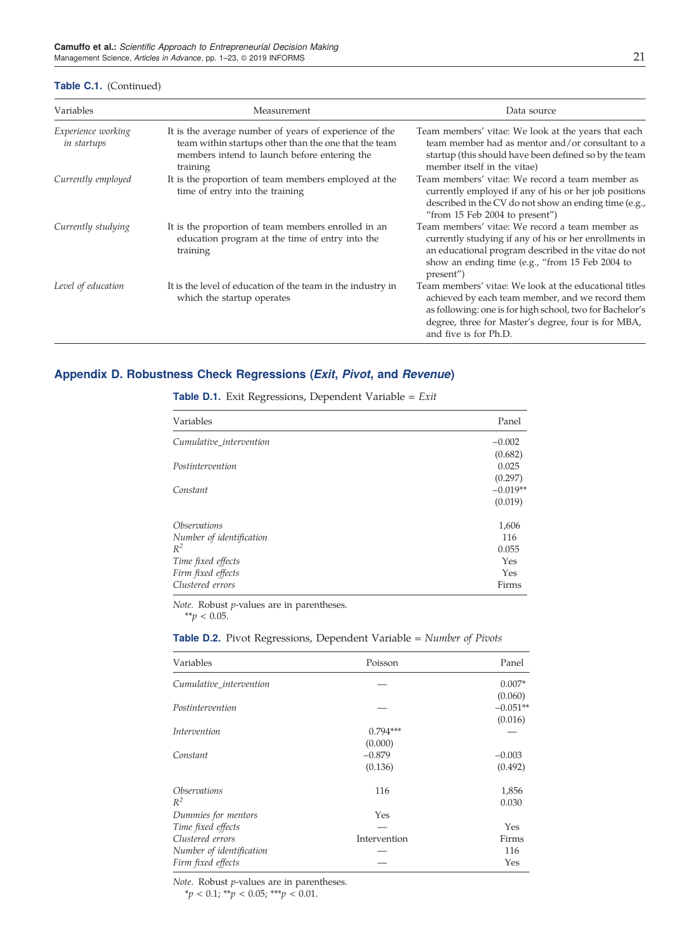## Table C.1. (Continued)

| Variables<br>Measurement                 |                                                                                                                                                                             | Data source                                                                                                                                                                                                                                            |
|------------------------------------------|-----------------------------------------------------------------------------------------------------------------------------------------------------------------------------|--------------------------------------------------------------------------------------------------------------------------------------------------------------------------------------------------------------------------------------------------------|
| Experience working<br><i>in startups</i> | It is the average number of years of experience of the<br>team within startups other than the one that the team<br>members intend to launch before entering the<br>training | Team members' vitae: We look at the years that each<br>team member had as mentor and/or consultant to a<br>startup (this should have been defined so by the team<br>member itself in the vitae)                                                        |
| Currently employed                       | It is the proportion of team members employed at the<br>time of entry into the training                                                                                     | Team members' vitae: We record a team member as<br>currently employed if any of his or her job positions<br>described in the CV do not show an ending time (e.g.,<br>"from 15 Feb 2004 to present")                                                    |
| Currently studying                       | It is the proportion of team members enrolled in an<br>education program at the time of entry into the<br>training                                                          | Team members' vitae: We record a team member as<br>currently studying if any of his or her enrollments in<br>an educational program described in the vitae do not<br>show an ending time (e.g., "from 15 Feb 2004 to<br>present")                      |
| Level of education                       | It is the level of education of the team in the industry in<br>which the startup operates                                                                                   | Team members' vitae: We look at the educational titles<br>achieved by each team member, and we record them<br>as following: one is for high school, two for Bachelor's<br>degree, three for Master's degree, four is for MBA,<br>and five is for Ph.D. |

## Appendix D. Robustness Check Regressions (Exit, Pivot, and Revenue)

Table D.1. Exit Regressions, Dependent Variable = *Exit*

| Variables                  | Panel      |
|----------------------------|------------|
| Cumulative_intervention    | $-0.002$   |
|                            | (0.682)    |
| Postintervention           | 0.025      |
|                            | (0.297)    |
| Constant                   | $-0.019**$ |
|                            | (0.019)    |
| <i><b>Observations</b></i> | 1,606      |
| Number of identification   | 116        |
| $R^2$                      | 0.055      |
| Time fixed effects         | Yes        |
| Firm fixed effects         | Yes        |
| Clustered errors           | Firms      |

*Note.* Robust *p*-values are in parentheses. \*\**p* < 0.05.

Table D.2. Pivot Regressions, Dependent Variable = *Number of Pivots*

| Variables                | Poisson      | Panel      |
|--------------------------|--------------|------------|
| Cumulative_intervention  |              | $0.007*$   |
|                          |              | (0.060)    |
| Postintervention         |              | $-0.051**$ |
|                          |              | (0.016)    |
| Intervention             | $0.794***$   |            |
|                          | (0.000)      |            |
| Constant                 | $-0.879$     | $-0.003$   |
|                          | (0.136)      | (0.492)    |
| Observations             | 116          | 1,856      |
| $R^2$                    |              | 0.030      |
| Dummies for mentors      | Yes          |            |
| Time fixed effects       |              | Yes        |
| Clustered errors         | Intervention | Firms      |
| Number of identification |              | 116        |
| Firm fixed effects       |              | Yes        |

*Note*. Robust *p*-values are in parentheses.

\**p* < 0.1; \*\**p* < 0.05; \*\*\**p* < 0.01.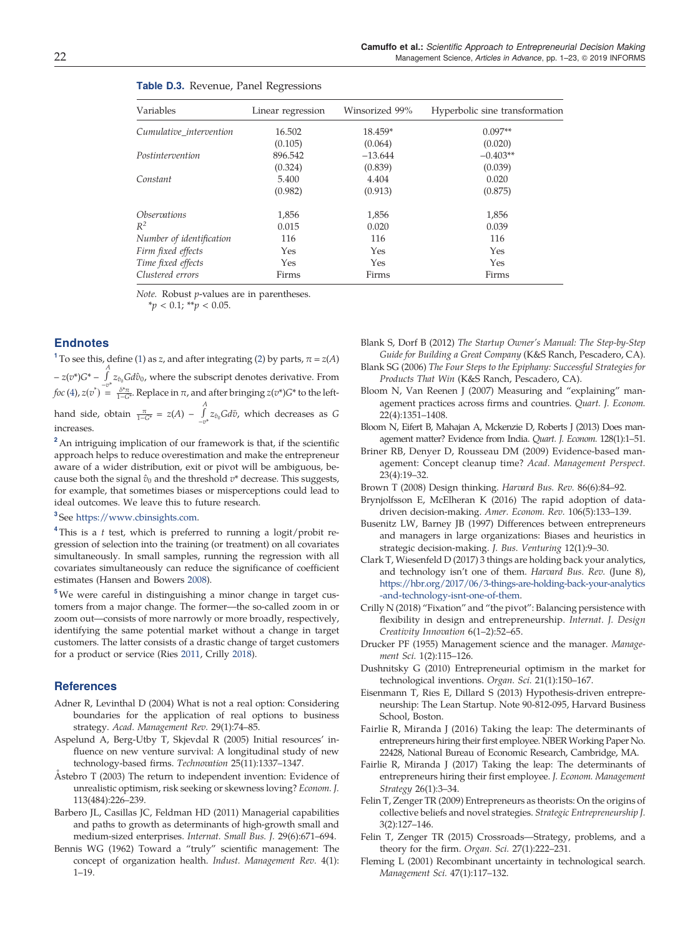| Variables                  | Linear regression | Winsorized 99% | Hyperbolic sine transformation |
|----------------------------|-------------------|----------------|--------------------------------|
| Cumulative_intervention    | 16.502            | 18.459*        | $0.097**$                      |
|                            | (0.105)           | (0.064)        | (0.020)                        |
| Postintervention           | 896.542           | $-13.644$      | $-0.403**$                     |
|                            | (0.324)           | (0.839)        | (0.039)                        |
| Constant                   | 5.400             | 4.404          | 0.020                          |
|                            | (0.982)           | (0.913)        | (0.875)                        |
| <i><b>Observations</b></i> | 1,856             | 1,856          | 1,856                          |
| $R^2$                      | 0.015             | 0.020          | 0.039                          |
| Number of identification   | 116               | 116            | 116                            |
| Firm fixed effects         | Yes               | Yes            | Yes                            |
| Time fixed effects         | Yes               | Yes            | Yes                            |
| Clustered errors           | Firms             | Firms          | Firms                          |

|  |  |  | Table D.3. Revenue, Panel Regressions |
|--|--|--|---------------------------------------|
|--|--|--|---------------------------------------|

*Note.* Robust *p*-values are in parentheses.

 $*_p$  < 0.1;  $*_p$  < 0.05.

### **Endnotes**

<sup>1</sup> To see this, define (1) as *z*, and after integrating (2) by parts,  $\pi = z(A)$  $-z(v^*)G^* - \int_{z}^{A} z_{\hat{v}_0} G d\hat{v}_0$ , where the subscript denotes derivative. From *foc* (4),  $z(v^*) = \frac{v^* \pi}{1 - G^*}$ . Replace in  $\pi$ , and after bringing  $z(v^*)G^*$  to the lefthand side, obtain  $\frac{\pi}{1-G^*} = z(A) - \int_{\infty}^{A}$  $\int_{-v^*} z_{\hat{v}_0} G d\bar{v}$ , which decreases as *G* increases.

<sup>2</sup> An intriguing implication of our framework is that, if the scientific approach helps to reduce overestimation and make the entrepreneur aware of a wider distribution, exit or pivot will be ambiguous, because both the signal  $\hat{v}_0$  and the threshold  $v^*$  decrease. This suggests, for example, that sometimes biases or misperceptions could lead to ideal outcomes. We leave this to future research.

#### <sup>3</sup>See https://www.cbinsights.com.

<sup>4</sup>This is a *t* test, which is preferred to running a logit/probit regression of selection into the training (or treatment) on all covariates simultaneously. In small samples, running the regression with all covariates simultaneously can reduce the significance of coefficient estimates (Hansen and Bowers 2008).

<sup>5</sup>We were careful in distinguishing a minor change in target customers from a major change. The former—the so-called zoom in or zoom out—consists of more narrowly or more broadly, respectively, identifying the same potential market without a change in target customers. The latter consists of a drastic change of target customers for a product or service (Ries 2011, Crilly 2018).

#### **References**

- Adner R, Levinthal D (2004) What is not a real option: Considering boundaries for the application of real options to business strategy. *Acad. Management Rev.* 29(1):74–85.
- Aspelund A, Berg-Utby T, Skjevdal R (2005) Initial resources' influence on new venture survival: A longitudinal study of new technology-based firms. *Technovation* 25(11):1337–1347.
- $\AA$ stebro T (2003) The return to independent invention: Evidence of unrealistic optimism, risk seeking or skewness loving? *Econom. J.* 113(484):226–239.
- Barbero JL, Casillas JC, Feldman HD (2011) Managerial capabilities and paths to growth as determinants of high-growth small and medium-sized enterprises. *Internat. Small Bus. J.* 29(6):671–694.
- Bennis WG (1962) Toward a "truly" scientific management: The concept of organization health. *Indust. Management Rev.* 4(1): 1–19.

|  |  | Blank S, Dorf B (2012) The Startup Owner's Manual: The Step-by-Step |  |  |
|--|--|---------------------------------------------------------------------|--|--|
|  |  | Guide for Building a Great Company (K&S Ranch, Pescadero, CA).      |  |  |

- Blank SG (2006) *The Four Steps to the Epiphany: Successful Strategies for Products That Win* (K&S Ranch, Pescadero, CA).
- Bloom N, Van Reenen J (2007) Measuring and "explaining" management practices across firms and countries. *Quart. J. Econom.* 22(4):1351–1408.
- Bloom N, Eifert B, Mahajan A, Mckenzie D, Roberts J (2013) Does management matter? Evidence from India. *Quart. J. Econom.* 128(1):1–51.
- Briner RB, Denyer D, Rousseau DM (2009) Evidence-based management: Concept cleanup time? *Acad. Management Perspect.* 23(4):19–32.
- Brown T (2008) Design thinking. *Harvard Bus. Rev.* 86(6):84–92.
- Brynjolfsson E, McElheran K (2016) The rapid adoption of datadriven decision-making. *Amer. Econom. Rev.* 106(5):133–139.
- Busenitz LW, Barney JB (1997) Differences between entrepreneurs and managers in large organizations: Biases and heuristics in strategic decision-making. *J. Bus. Venturing* 12(1):9–30.
- Clark T, Wiesenfeld D (2017) 3 things are holding back your analytics, and technology isn't one of them. *Harvard Bus. Rev.* (June 8), https://hbr.org/2017/06/3-things-are-holding-back-your-analytics -and-technology-isnt-one-of-them.
- Crilly N (2018) "Fixation" and "the pivot": Balancing persistence with flexibility in design and entrepreneurship. *Internat. J. Design Creativity Innovation* 6(1–2):52–65.
- Drucker PF (1955) Management science and the manager. *Management Sci.* 1(2):115–126.
- Dushnitsky G (2010) Entrepreneurial optimism in the market for technological inventions. *Organ. Sci.* 21(1):150–167.
- Eisenmann T, Ries E, Dillard S (2013) Hypothesis-driven entrepreneurship: The Lean Startup. Note 90-812-095, Harvard Business School, Boston.
- Fairlie R, Miranda J (2016) Taking the leap: The determinants of entrepreneurs hiring their first employee. NBERWorking Paper No. 22428, National Bureau of Economic Research, Cambridge, MA.
- Fairlie R, Miranda J (2017) Taking the leap: The determinants of entrepreneurs hiring their first employee. *J. Econom. Management Strategy* 26(1):3–34.
- Felin T, Zenger TR (2009) Entrepreneurs as theorists: On the origins of collective beliefs and novel strategies. *Strategic Entrepreneurship J.* 3(2):127–146.
- Felin T, Zenger TR (2015) Crossroads—Strategy, problems, and a theory for the firm. *Organ. Sci.* 27(1):222–231.
- Fleming L (2001) Recombinant uncertainty in technological search. *Management Sci.* 47(1):117–132.